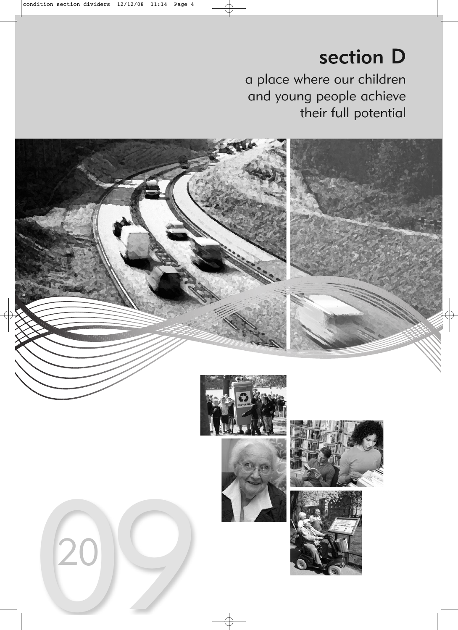# section D

a place where our children and young people achieve their full potential

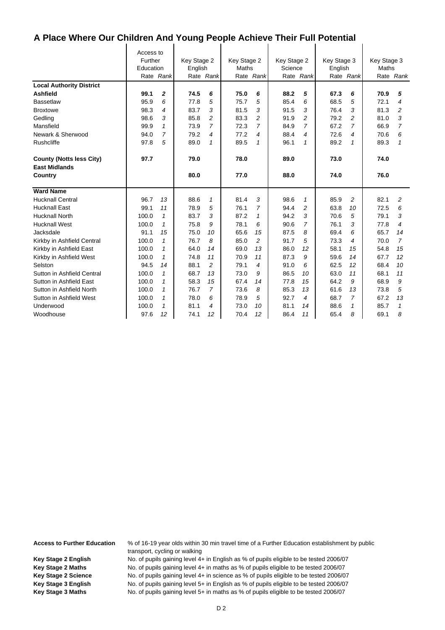$\mathbf{I}$ 

|                                 | Access to<br>Further |                | Key Stage 2 |                | Key Stage 2 |              | Key Stage 2 |                | Key Stage 3 |              | Key Stage 3 |                |
|---------------------------------|----------------------|----------------|-------------|----------------|-------------|--------------|-------------|----------------|-------------|--------------|-------------|----------------|
|                                 | Education            | Rate Rank      | English     | Rate Rank      | Maths       | Rate Rank    | Science     | Rate Rank      | English     | Rate Rank    | Maths       | Rate Rank      |
| <b>Local Authority District</b> |                      |                |             |                |             |              |             |                |             |              |             |                |
| <b>Ashfield</b>                 | 99.1                 | 2              | 74.5        | 6              | 75.0        | 6            | 88.2        | 5              | 67.3        | 6            | 70.9        | 5              |
| <b>Bassetlaw</b>                | 95.9                 | 6              | 77.8        | 5              | 75.7        | 5            | 85.4        | 6              | 68.5        | 5            | 72.1        | 4              |
| <b>Broxtowe</b>                 | 98.3                 | 4              | 83.7        | 3              | 81.5        | 3            | 91.5        | 3              | 76.4        | 3            | 81.3        | $\overline{c}$ |
| Gedling                         | 98.6                 | 3              | 85.8        | 2              | 83.3        | 2            | 91.9        | $\overline{c}$ | 79.2        | 2            | 81.0        | 3              |
| Mansfield                       | 99.9                 | $\mathbf{1}$   | 73.9        | 7              | 72.3        | 7            | 84.9        | $\overline{7}$ | 67.2        | 7            | 66.9        | $\overline{7}$ |
| Newark & Sherwood               | 94.0                 | $\overline{7}$ | 79.2        | 4              | 77.2        | 4            | 88.4        | 4              | 72.6        | 4            | 70.6        | 6              |
| Rushcliffe                      | 97.8                 | 5              | 89.0        | 1              | 89.5        | $\mathbf{1}$ | 96.1        | 1              | 89.2        | $\mathbf{1}$ | 89.3        | $\mathbf{1}$   |
| <b>County (Notts less City)</b> | 97.7                 |                | 79.0        |                | 78.0        |              | 89.0        |                | 73.0        |              | 74.0        |                |
| <b>East Midlands</b>            |                      |                |             |                |             |              |             |                |             |              |             |                |
| Country                         |                      |                | 80.0        |                | 77.0        |              | 88.0        |                | 74.0        |              | 76.0        |                |
| <b>Ward Name</b>                |                      |                |             |                |             |              |             |                |             |              |             |                |
| <b>Hucknall Central</b>         | 96.7                 | 13             | 88.6        | $\mathbf{1}$   | 81.4        | 3            | 98.6        | $\mathbf{1}$   | 85.9        | 2            | 82.1        | 2              |
| <b>Hucknall East</b>            | 99.1                 | 11             | 78.9        | 5              | 76.1        | 7            | 94.4        | $\overline{c}$ | 63.8        | 10           | 72.5        | 6              |
| <b>Hucknall North</b>           | 100.0                | $\mathbf{1}$   | 83.7        | 3              | 87.2        | $\mathbf{1}$ | 94.2        | 3              | 70.6        | 5            | 79.1        | 3              |
| <b>Hucknall West</b>            | 100.0                | $\mathcal I$   | 75.8        | 9              | 78.1        | 6            | 90.6        | 7              | 76.1        | 3            | 77.8        | 4              |
| Jacksdale                       | 91.1                 | 15             | 75.0        | 10             | 65.6        | 15           | 87.5        | 8              | 69.4        | 6            | 65.7        | 14             |
| Kirkby in Ashfield Central      | 100.0                | $\mathbf{1}$   | 76.7        | 8              | 85.0        | 2            | 91.7        | 5              | 73.3        | 4            | 70.0        | $\overline{7}$ |
| Kirkby in Ashfield East         | 100.0                | $\mathcal I$   | 64.0        | 14             | 69.0        | 13           | 86.0        | 12             | 58.1        | 15           | 54.8        | 15             |
| Kirkby in Ashfield West         | 100.0                | $\mathcal I$   | 74.8        | 11             | 70.9        | 11           | 87.3        | 9              | 59.6        | 14           | 67.7        | 12             |
| Selston                         | 94.5                 | 14             | 88.1        | $\overline{c}$ | 79.1        | 4            | 91.0        | 6              | 62.5        | 12           | 68.4        | 10             |
| Sutton in Ashfield Central      | 100.0                | $\mathcal I$   | 68.7        | 13             | 73.0        | 9            | 86.5        | 10             | 63.0        | 11           | 68.1        | 11             |
| Sutton in Ashfield East         | 100.0                | $\mathcal I$   | 58.3        | 15             | 67.4        | 14           | 77.8        | 15             | 64.2        | 9            | 68.9        | 9              |
| Sutton in Ashfield North        | 100.0                | $\mathcal I$   | 76.7        | $\overline{7}$ | 73.6        | 8            | 85.3        | 13             | 61.6        | 13           | 73.8        | 5              |
| Sutton in Ashfield West         | 100.0                | $\mathcal I$   | 78.0        | 6              | 78.9        | 5            | 92.7        | 4              | 68.7        | 7            | 67.2        | 13             |
| Underwood                       | 100.0                | $\mathcal I$   | 81.1        | 4              | 73.0        | 10           | 81.1        | 14             | 88.6        | $\mathbf{1}$ | 85.7        | 1              |
| Woodhouse                       | 97.6                 | 12             | 74.1        | 12             | 70.4        | 12           | 86.4        | 11             | 65.4        | 8            | 69.1        | 8              |

**Access to Further Education** % of 16-19 year olds within 30 min travel time of a Further Education establishment by public transport, cycling or walking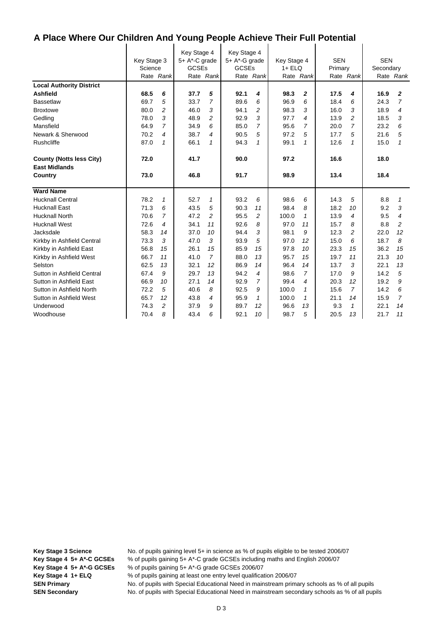$\mathbf{I}$ 

|                                 | Key Stage 3<br>Science<br>Rate Rank |                | Key Stage 4<br>5+ A*-C grade<br><b>GCSEs</b> | Rate Rank      | Key Stage 4<br>5+ A*-G grade<br><b>GCSEs</b> | Rate Rank      | Key Stage 4<br>$1 + ELQ$ | Rate Rank      | <b>SEN</b><br>Primary | Rate Rank      | <b>SEN</b><br>Secondary | Rate Rank      |
|---------------------------------|-------------------------------------|----------------|----------------------------------------------|----------------|----------------------------------------------|----------------|--------------------------|----------------|-----------------------|----------------|-------------------------|----------------|
| <b>Local Authority District</b> |                                     |                |                                              |                |                                              |                |                          |                |                       |                |                         |                |
| <b>Ashfield</b>                 | 68.5                                | 6              | 37.7                                         | 5              | 92.1                                         | 4              | 98.3                     | $\overline{2}$ | 17.5                  | 4              | 16.9                    | $\mathbf{z}$   |
| <b>Bassetlaw</b>                | 69.7                                | 5              | 33.7                                         | 7              | 89.6                                         | 6              | 96.9                     | 6              | 18.4                  | 6              | 24.3                    | 7              |
| <b>Broxtowe</b>                 | 80.0                                | $\overline{a}$ | 46.0                                         | 3              | 94.1                                         | $\overline{c}$ | 98.3                     | 3              | 16.0                  | 3              | 18.9                    | 4              |
| Gedling                         | 78.0                                | 3              | 48.9                                         | $\overline{c}$ | 92.9                                         | 3              | 97.7                     | $\overline{4}$ | 13.9                  | $\overline{c}$ | 18.5                    | 3              |
| Mansfield                       | 64.9                                | $\overline{7}$ | 34.9                                         | 6              | 85.0                                         | $\overline{7}$ | 95.6                     | $\overline{7}$ | 20.0                  | $\overline{7}$ | 23.2                    | 6              |
| Newark & Sherwood               | 70.2                                | 4              | 38.7                                         | 4              | 90.5                                         | 5              | 97.2                     | 5              | 17.7                  | 5              | 21.6                    | 5              |
| <b>Rushcliffe</b>               | 87.0                                | $\mathcal I$   | 66.1                                         | $\mathbf{1}$   | 94.3                                         | $\mathbf{1}$   | 99.1                     | 1              | 12.6                  | $\mathbf{1}$   | 15.0                    | $\mathbf{1}$   |
| <b>County (Notts less City)</b> | 72.0                                |                | 41.7                                         |                | 90.0                                         |                | 97.2                     |                | 16.6                  |                | 18.0                    |                |
| <b>East Midlands</b>            |                                     |                |                                              |                |                                              |                |                          |                |                       |                |                         |                |
| <b>Country</b>                  | 73.0                                |                | 46.8                                         |                | 91.7                                         |                | 98.9                     |                | 13.4                  |                | 18.4                    |                |
| <b>Ward Name</b>                |                                     |                |                                              |                |                                              |                |                          |                |                       |                |                         |                |
| <b>Hucknall Central</b>         | 78.2                                | $\mathbf{1}$   | 52.7                                         | $\mathbf{1}$   | 93.2                                         | 6              | 98.6                     | 6              | 14.3                  | 5              | 8.8                     | $\mathcal I$   |
| <b>Hucknall East</b>            | 71.3                                | 6              | 43.5                                         | 5              | 90.3                                         | 11             | 98.4                     | 8              | 18.2                  | 10             | 9.2                     | 3              |
| <b>Hucknall North</b>           | 70.6                                | $\overline{7}$ | 47.2                                         | $\overline{c}$ | 95.5                                         | $\overline{c}$ | 100.0                    | $\mathcal I$   | 13.9                  | 4              | 9.5                     | 4              |
| <b>Hucknall West</b>            | 72.6                                | 4              | 34.1                                         | 11             | 92.6                                         | 8              | 97.0                     | 11             | 15.7                  | 8              | 8.8                     | $\overline{c}$ |
| Jacksdale                       | 58.3                                | 14             | 37.0                                         | 10             | 94.4                                         | 3              | 98.1                     | 9              | 12.3                  | $\overline{c}$ | 22.0                    | 12             |
| Kirkby in Ashfield Central      | 73.3                                | 3              | 47.0                                         | 3              | 93.9                                         | 5              | 97.0                     | 12             | 15.0                  | 6              | 18.7                    | 8              |
| Kirkby in Ashfield East         | 56.8                                | 15             | 26.1                                         | 15             | 85.9                                         | 15             | 97.8                     | 10             | 23.3                  | 15             | 36.2                    | 15             |
| Kirkby in Ashfield West         | 66.7                                | 11             | 41.0                                         | $\overline{7}$ | 88.0                                         | 13             | 95.7                     | 15             | 19.7                  | 11             | 21.3                    | 10             |
| Selston                         | 62.5                                | 13             | 32.1                                         | 12             | 86.9                                         | 14             | 96.4                     | 14             | 13.7                  | 3              | 22.1                    | 13             |
| Sutton in Ashfield Central      | 67.4                                | 9              | 29.7                                         | 13             | 94.2                                         | 4              | 98.6                     | $\overline{7}$ | 17.0                  | 9              | 14.2                    | 5              |
| Sutton in Ashfield East         | 66.9                                | 10             | 27.1                                         | 14             | 92.9                                         | 7              | 99.4                     | 4              | 20.3                  | 12             | 19.2                    | 9              |
| Sutton in Ashfield North        | 72.2                                | 5              | 40.6                                         | 8              | 92.5                                         | 9              | 100.0                    | 1              | 15.6                  | 7              | 14.2                    | 6              |
| Sutton in Ashfield West         | 65.7                                | 12             | 43.8                                         | 4              | 95.9                                         | 1              | 100.0                    | 1              | 21.1                  | 14             | 15.9                    | $\overline{7}$ |
| Underwood                       | 74.3                                | $\overline{c}$ | 37.9                                         | 9              | 89.7                                         | 12             | 96.6                     | 13             | 9.3                   | $\mathbf{1}$   | 22.1                    | 14             |
| Woodhouse                       | 70.4                                | 8              | 43.4                                         | 6              | 92.1                                         | 10             | 98.7                     | 5              | 20.5                  | 13             | 21.7                    | 11             |

**SEN Secondary** No. of pupils with Special Educational Need in mainstream secondary schools as % of all pupils

**Key Stage 3 Science** No. of pupils gaining level 5+ in science as % of pupils eligible to be tested 2006/07 **Key Stage 4 5+ A\*-C GCSEs** % of pupils gaining 5+ A\*-C grade GCSEs including maths and English 2006/07 **Key Stage 4 5+ A\*-G GCSEs** % of pupils gaining 5+ A\*-G grade GCSEs 2006/07 **Key Stage 4 1+ ELQ** % of pupils gaining at least one entry level qualification 2006/07 **SEN Primary** No. of pupils with Special Educational Need in mainstream primary schools as % of all pupils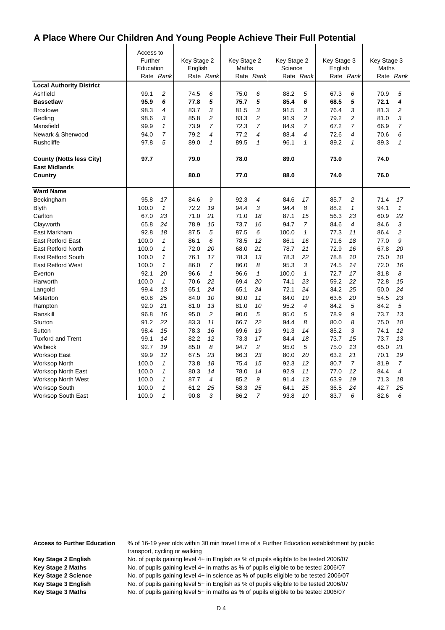$\mathbf{I}$ 

|                                 | Access to |                |             |                          |             |                |             |                |             |                |             |                |
|---------------------------------|-----------|----------------|-------------|--------------------------|-------------|----------------|-------------|----------------|-------------|----------------|-------------|----------------|
|                                 | Further   |                | Key Stage 2 |                          | Key Stage 2 |                | Key Stage 2 |                | Key Stage 3 |                | Key Stage 3 |                |
|                                 | Education |                | English     |                          | Maths       |                | Science     |                | English     |                | Maths       |                |
|                                 |           | Rate Rank      |             | Rate Rank                |             | Rate Rank      |             | Rate Rank      |             | Rate Rank      |             | Rate Rank      |
| <b>Local Authority District</b> |           |                |             |                          |             |                |             |                |             |                |             |                |
| Ashfield                        | 99.1      | $\overline{c}$ | 74.5        | 6                        | 75.0        | 6              | 88.2        | 5              | 67.3        | 6              | 70.9        | 5              |
| <b>Bassetlaw</b>                | 95.9      | 6              | 77.8        | 5                        | 75.7        | 5              | 85.4        | 6              | 68.5        | 5              | 72.1        | 4              |
| <b>Broxtowe</b>                 | 98.3      | 4              | 83.7        | 3                        | 81.5        | 3              | 91.5        | 3              | 76.4        | 3              | 81.3        | $\overline{c}$ |
| Gedling                         | 98.6      | 3              | 85.8        | $\overline{\mathbf{c}}$  | 83.3        | $\overline{c}$ | 91.9        | $\overline{c}$ | 79.2        | $\overline{c}$ | 81.0        | 3              |
| Mansfield                       | 99.9      | $\mathbf{1}$   | 73.9        | $\overline{7}$           | 72.3        | $\overline{7}$ | 84.9        | 7              | 67.2        | $\overline{7}$ | 66.9        | $\overline{7}$ |
| Newark & Sherwood               | 94.0      | $\overline{7}$ | 79.2        | $\overline{\mathcal{A}}$ | 77.2        | 4              | 88.4        | 4              | 72.6        | 4              | 70.6        | 6              |
| <b>Rushcliffe</b>               | 97.8      | 5              | 89.0        | 1                        | 89.5        | 1              | 96.1        | $\mathbf{1}$   | 89.2        | 1              | 89.3        | $\mathbf{1}$   |
| <b>County (Notts less City)</b> | 97.7      |                | 79.0        |                          | 78.0        |                | 89.0        |                | 73.0        |                | 74.0        |                |
| <b>East Midlands</b>            |           |                |             |                          |             |                |             |                |             |                |             |                |
| Country                         |           |                | 80.0        |                          | 77.0        |                | 88.0        |                | 74.0        |                | 76.0        |                |
| <b>Ward Name</b>                |           |                |             |                          |             |                |             |                |             |                |             |                |
| Beckingham                      | 95.8      | 17             | 84.6        | 9                        | 92.3        | 4              | 84.6        | 17             | 85.7        | $\overline{c}$ | 71.4        | 17             |
| <b>Blyth</b>                    | 100.0     | $\mathbf{1}$   | 72.2        | 19                       | 94.4        | 3              | 94.4        | 8              | 88.2        | $\mathbf{1}$   | 94.1        | $\mathbf{1}$   |
| Carlton                         | 67.0      | 23             | 71.0        | 21                       | 71.0        | 18             | 87.1        | 15             | 56.3        | 23             | 60.9        | 22             |
| Clayworth                       | 65.8      | 24             | 78.9        | 15                       | 73.7        | 16             | 94.7        | 7              | 84.6        | 4              | 84.6        | 3              |
| East Markham                    | 92.8      | 18             | 87.5        | 5                        | 87.5        | 6              | 100.0       | $\mathbf{1}$   | 77.3        | 11             | 86.4        | $\overline{c}$ |
| <b>East Retford East</b>        | 100.0     | $\mathbf{1}$   | 86.1        | 6                        | 78.5        | 12             | 86.1        | 16             | 71.6        | 18             | 77.0        | 9              |
| <b>East Retford North</b>       | 100.0     | $\mathbf{1}$   | 72.0        | 20                       | 68.0        | 21             | 78.7        | 21             | 72.9        | 16             | 67.8        | 20             |
| <b>East Retford South</b>       | 100.0     | $\mathcal I$   | 76.1        | 17                       | 78.3        | 13             | 78.3        | 22             | 78.8        | 10             | 75.0        | 10             |
| <b>East Retford West</b>        | 100.0     | $\mathbf{1}$   | 86.0        | $\overline{7}$           | 86.0        | 8              | 95.3        | 3              | 74.5        | 14             | 72.0        | 16             |
| Everton                         | 92.1      | 20             | 96.6        | $\mathbf{1}$             | 96.6        | $\mathbf{1}$   | 100.0       | $\mathbf{1}$   | 72.7        | 17             | 81.8        | 8              |
| Harworth                        | 100.0     | $\mathbf{1}$   | 70.6        | 22                       | 69.4        | 20             | 74.1        | 23             | 59.2        | 22             | 72.8        | 15             |
| Langold                         | 99.4      | 13             | 65.1        | 24                       | 65.1        | 24             | 72.1        | 24             | 34.2        | 25             | 50.0        | 24             |
| Misterton                       | 60.8      | 25             | 84.0        | 10                       | 80.0        | 11             | 84.0        | 19             | 63.6        | 20             | 54.5        | 23             |
| Rampton                         | 92.0      | 21             | 81.0        | 13                       | 81.0        | 10             | 95.2        | 4              | 84.2        | 5              | 84.2        | 5              |
| Ranskill                        | 96.8      | 16             | 95.0        | $\overline{c}$           | 90.0        | 5              | 95.0        | 5              | 78.9        | 9              | 73.7        | 13             |
| Sturton                         | 91.2      | 22             | 83.3        | 11                       | 66.7        | 22             | 94.4        | 8              | 80.0        | 8              | 75.0        | 10             |
| Sutton                          | 98.4      | 15             | 78.3        | 16                       | 69.6        | 19             | 91.3        | 14             | 85.2        | 3              | 74.1        | 12             |
| <b>Tuxford and Trent</b>        | 99.1      | 14             | 82.2        | 12                       | 73.3        | 17             | 84.4        | 18             | 73.7        | 15             | 73.7        | 13             |
| Welbeck                         | 92.7      | 19             | 85.0        | 8                        | 94.7        | $\overline{c}$ | 95.0        | 5              | 75.0        | 13             | 65.0        | 21             |
| Worksop East                    | 99.9      | 12             | 67.5        | 23                       | 66.3        | 23             | 80.0        | 20             | 63.2        | 21             | 70.1        | 19             |
| <b>Worksop North</b>            | 100.0     | $\mathbf{1}$   | 73.8        | 18                       | 75.4        | 15             | 92.3        | 12             | 80.7        | $\overline{7}$ | 81.9        | $\overline{7}$ |
| <b>Worksop North East</b>       | 100.0     | $\mathcal I$   | 80.3        | 14                       | 78.0        | 14             | 92.9        | 11             | 77.0        | 12             | 84.4        | 4              |
| <b>Worksop North West</b>       | 100.0     | $\mathcal I$   | 87.7        | 4                        | 85.2        | 9              | 91.4        | 13             | 63.9        | 19             | 71.3        | 18             |
| <b>Worksop South</b>            | 100.0     | $\mathcal I$   | 61.2        | 25                       | 58.3        | 25             | 64.1        | 25             | 36.5        | 24             | 42.7        | 25             |
| <b>Worksop South East</b>       | 100.0     | $\mathbf{1}$   | 90.8        | 3                        | 86.2        | 7              | 93.8        | 10             | 83.7        | 6              | 82.6        | 6              |

**Access to Further Education** % of 16-19 year olds within 30 min travel time of a Further Education establishment by public transport, cycling or walking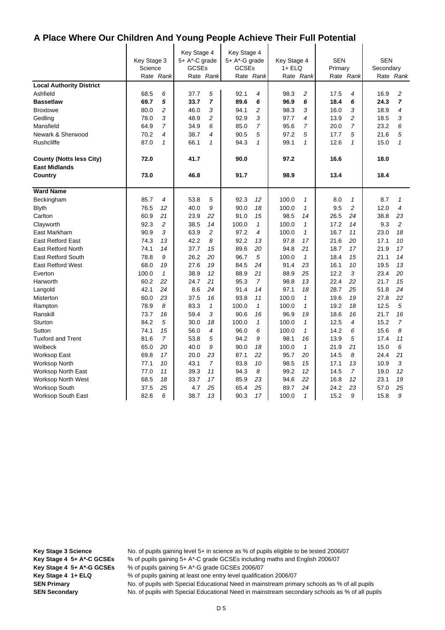$\mathbf{I}$ 

|                                 |             |                | Key Stage 4   |                | Key Stage 4   |                |             |                |            |                |            |                |
|---------------------------------|-------------|----------------|---------------|----------------|---------------|----------------|-------------|----------------|------------|----------------|------------|----------------|
|                                 | Key Stage 3 |                | 5+ A*-C grade |                | 5+ A*-G grade |                | Key Stage 4 |                | <b>SEN</b> |                | <b>SEN</b> |                |
|                                 | Science     |                | <b>GCSEs</b>  |                | <b>GCSEs</b>  |                | 1+ ELQ      |                | Primary    |                | Secondary  |                |
|                                 |             | Rate Rank      |               | Rate Rank      |               | Rate Rank      |             | Rate Rank      |            | Rate Rank      |            | Rate Rank      |
| <b>Local Authority District</b> |             |                |               |                |               |                |             |                |            |                |            |                |
| Ashfield                        | 68.5        | 6              | 37.7          | 5              | 92.1          | 4              | 98.3        | 2              | 17.5       | 4              | 16.9       | 2              |
| <b>Bassetlaw</b>                | 69.7        | 5              | 33.7          | $\overline{7}$ | 89.6          | 6              | 96.9        | 6              | 18.4       | 6              | 24.3       | $\overline{7}$ |
| <b>Broxtowe</b>                 | 80.0        | $\overline{c}$ | 46.0          | 3              | 94.1          | 2              | 98.3        | 3              | 16.0       | 3              | 18.9       | 4              |
| Gedling                         | 78.0        | 3              | 48.9          | $\overline{c}$ | 92.9          | 3              | 97.7        | 4              | 13.9       | 2              | 18.5       | 3              |
| Mansfield                       | 64.9        | $\overline{7}$ | 34.9          | 6              | 85.0          | $\overline{7}$ | 95.6        | $\overline{7}$ | 20.0       | $\overline{7}$ | 23.2       | 6              |
| Newark & Sherwood               | 70.2        | 4              | 38.7          | 4              | 90.5          | 5              | 97.2        | 5              | 17.7       | 5              | 21.6       | 5              |
| Rushcliffe                      | 87.0        | $\mathbf{1}$   | 66.1          | 1              | 94.3          | $\mathbf{1}$   | 99.1        | $\mathbf{1}$   | 12.6       | $\mathbf{1}$   | 15.0       | $\mathbf{1}$   |
| <b>County (Notts less City)</b> | 72.0        |                | 41.7          |                | 90.0          |                | 97.2        |                | 16.6       |                | 18.0       |                |
| <b>East Midlands</b>            |             |                |               |                |               |                |             |                |            |                |            |                |
| Country                         | 73.0        |                | 46.8          |                | 91.7          |                | 98.9        |                | 13.4       |                | 18.4       |                |
| <b>Ward Name</b>                |             |                |               |                |               |                |             |                |            |                |            |                |
| Beckingham                      | 85.7        | 4              | 53.8          | 5              | 92.3          | 12             | 100.0       | 1              | 8.0        | $\mathbf{1}$   | 8.7        | 1              |
| <b>Blyth</b>                    | 76.5        | 12             | 40.0          | 9              | 90.0          | 18             | 100.0       | $\mathbf{1}$   | 9.5        | $\overline{c}$ | 12.0       | 4              |
| Carlton                         | 60.9        | 21             | 23.9          | 22             | 91.0          | 15             | 98.5        | 14             | 26.5       | 24             | 38.8       | 23             |
| Clayworth                       | 92.3        | 2              | 38.5          | 14             | 100.0         | $\mathbf{1}$   | 100.0       | $\mathbf{1}$   | 17.2       | 14             | 9.3        | $\overline{c}$ |
| East Markham                    | 90.9        | 3              | 63.9          | $\overline{c}$ | 97.2          | 4              | 100.0       | $\mathbf{1}$   | 16.7       | 11             | 23.0       | 18             |
| <b>East Retford East</b>        | 74.3        | 13             | 42.2          | 8              | 92.2          | 13             | 97.8        | 17             | 21.6       | 20             | 17.1       | 10             |
| <b>East Retford North</b>       | 74.1        | 14             | 37.7          | 15             | 89.6          | 20             | 94.8        | 21             | 18.7       | 17             | 21.9       | 17             |
| <b>East Retford South</b>       | 78.8        | 9              | 26.2          | 20             | 96.7          | 5              | 100.0       | $\mathbf{1}$   | 18.4       | 15             | 21.1       | 14             |
| <b>East Retford West</b>        | 68.0        | 19             | 27.6          | 19             | 84.5          | 24             | 91.4        | 23             | 16.1       | 10             | 19.5       | 13             |
| Everton                         | 100.0       | $\mathbf{1}$   | 38.9          | 12             | 88.9          | 21             | 88.9        | 25             | 12.2       | 3              | 23.4       | 20             |
| Harworth                        | 60.2        | 22             | 24.7          | 21             | 95.3          | $\overline{7}$ | 98.8        | 13             | 22.4       | 22             | 21.7       | 15             |
| Langold                         | 42.1        | 24             | 8.6           | 24             | 91.4          | 14             | 97.1        | 18             | 28.7       | 25             | 51.8       | 24             |
| Misterton                       | 60.0        | 23             | 37.5          | 16             | 93.8          | 11             | 100.0       | $\mathbf{1}$   | 19.6       | 19             | 27.8       | 22             |
| Rampton                         | 78.9        | 8              | 83.3          | $\mathbf{1}$   | 100.0         | $\mathbf{1}$   | 100.0       | $\mathbf{1}$   | 19.2       | 18             | 12.5       | 5              |
| Ranskill                        | 73.7        | 16             | 59.4          | 3              | 90.6          | 16             | 96.9        | 19             | 18.6       | 16             | 21.7       | 16             |
| Sturton                         | 84.2        | 5              | 30.0          | 18             | 100.0         | $\mathbf{1}$   | 100.0       | $\mathbf{1}$   | 12.5       | 4              | 15.2       | $\overline{7}$ |
| Sutton                          | 74.1        | 15             | 56.0          | 4              | 96.0          | 6              | 100.0       | $\mathbf{1}$   | 14.2       | 6              | 15.6       | 8              |
| <b>Tuxford and Trent</b>        | 81.6        | $\overline{7}$ | 53.8          | 5              | 94.2          | 9              | 98.1        | 16             | 13.9       | 5              | 17.4       | 11             |
| Welbeck                         | 65.0        | 20             | 40.0          | 9              | 90.0          | 18             | 100.0       | $\mathbf{1}$   | 21.9       | 21             | 15.0       | 6              |
| Worksop East                    | 69.8        | 17             | 20.0          | 23             | 87.1          | 22             | 95.7        | 20             | 14.5       | 8              | 24.4       | 21             |
| <b>Worksop North</b>            | 77.1        | 10             | 43.1          | $\overline{7}$ | 93.8          | 10             | 98.5        | 15             | 17.1       | 13             | 10.9       | 3              |
| <b>Worksop North East</b>       | 77.0        | 11             | 39.3          | 11             | 94.3          | 8              | 99.2        | 12             | 14.5       | $\overline{7}$ | 19.0       | 12             |
| <b>Worksop North West</b>       | 68.5        | 18             | 33.7          | 17             | 85.9          | 23             | 94.6        | 22             | 16.8       | 12             | 23.1       | 19             |
| <b>Worksop South</b>            | 37.5        | 25             | 4.7           | 25             | 65.4          | 25             | 89.7        | 24             | 24.2       | 23             | 57.0       | 25             |
| <b>Worksop South East</b>       | 82.6        | 6              | 38.7          | 13             | 90.3          | 17             | 100.0       | $\mathcal I$   | 15.2       | 9              | 15.8       | 9              |

**Key Stage 3 Science** No. of pupils gaining level 5+ in science as % of pupils eligible to be tested 2006/07 **Key Stage 4 5+ A\*-C GCSEs** % of pupils gaining 5+ A\*-C grade GCSEs including maths and English 2006/07

**Key Stage 4 5+ A\*-G GCSEs** % of pupils gaining 5+ A\*-G grade GCSEs 2006/07

**Key Stage 4 1+ ELQ** % of pupils gaining at least one entry level qualification 2006/07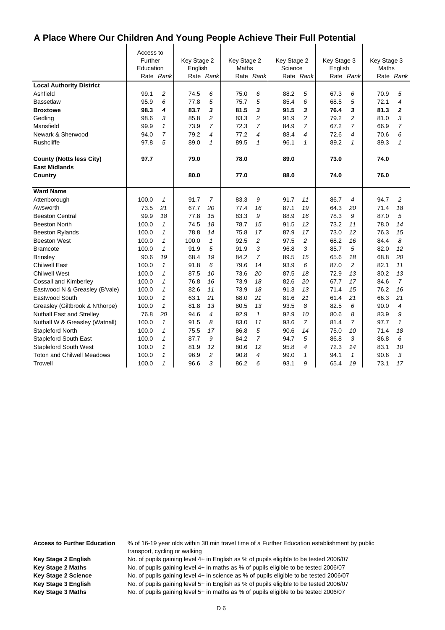$\mathbf{I}$ 

|                                   | Access to |                |             |                          |             |                |             |                |             |                |             |                |
|-----------------------------------|-----------|----------------|-------------|--------------------------|-------------|----------------|-------------|----------------|-------------|----------------|-------------|----------------|
|                                   | Further   |                | Key Stage 2 |                          | Key Stage 2 |                | Key Stage 2 |                | Key Stage 3 |                | Key Stage 3 |                |
|                                   | Education |                | English     |                          | Maths       |                | Science     |                | English     |                | Maths       |                |
|                                   |           | Rate Rank      |             | Rate Rank                |             | Rate Rank      |             | Rate Rank      |             | Rate Rank      |             | Rate Rank      |
| <b>Local Authority District</b>   |           |                |             |                          |             |                |             |                |             |                |             |                |
| Ashfield                          | 99.1      | 2              | 74.5        | 6                        | 75.0        | 6              | 88.2        | 5              | 67.3        | 6              | 70.9        | 5              |
| <b>Bassetlaw</b>                  | 95.9      | 6              | 77.8        | 5                        | 75.7        | 5              | 85.4        | 6              | 68.5        | 5              | 72.1        | 4              |
| <b>Broxtowe</b>                   | 98.3      | 4              | 83.7        | 3                        | 81.5        | 3              | 91.5        | 3              | 76.4        | 3              | 81.3        | $\mathbf{2}$   |
| Gedling                           | 98.6      | 3              | 85.8        | $\overline{c}$           | 83.3        | $\overline{c}$ | 91.9        | 2              | 79.2        | $\overline{c}$ | 81.0        | 3              |
| Mansfield                         | 99.9      | $\mathbf{1}$   | 73.9        | $\overline{7}$           | 72.3        | 7              | 84.9        | $\overline{7}$ | 67.2        | 7              | 66.9        | 7              |
| Newark & Sherwood                 | 94.0      | $\overline{7}$ | 79.2        | $\overline{\mathcal{A}}$ | 77.2        | 4              | 88.4        | 4              | 72.6        | 4              | 70.6        | 6              |
| <b>Rushcliffe</b>                 | 97.8      | 5              | 89.0        | 1                        | 89.5        | $\mathbf{1}$   | 96.1        | $\mathbf{1}$   | 89.2        | 1              | 89.3        | $\mathbf{1}$   |
| <b>County (Notts less City)</b>   | 97.7      |                | 79.0        |                          | 78.0        |                | 89.0        |                | 73.0        |                | 74.0        |                |
| <b>East Midlands</b>              |           |                |             |                          |             |                |             |                |             |                |             |                |
| Country                           |           |                | 80.0        |                          | 77.0        |                | 88.0        |                | 74.0        |                | 76.0        |                |
| <b>Ward Name</b>                  |           |                |             |                          |             |                |             |                |             |                |             |                |
| Attenborough                      | 100.0     | $\mathcal I$   | 91.7        | $\overline{7}$           | 83.3        | 9              | 91.7        | 11             | 86.7        | $\overline{4}$ | 94.7        | $\overline{c}$ |
| Awsworth                          | 73.5      | 21             | 67.7        | 20                       | 77.4        | 16             | 87.1        | 19             | 64.3        | 20             | 71.4        | 18             |
| <b>Beeston Central</b>            | 99.9      | 18             | 77.8        | 15                       | 83.3        | 9              | 88.9        | 16             | 78.3        | 9              | 87.0        | 5              |
| <b>Beeston North</b>              | 100.0     | $\mathbf{1}$   | 74.5        | 18                       | 78.7        | 15             | 91.5        | 12             | 73.2        | 11             | 78.0        | 14             |
| <b>Beeston Rylands</b>            | 100.0     | $\mathbf{1}$   | 78.8        | 14                       | 75.8        | 17             | 87.9        | 17             | 73.0        | 12             | 76.3        | 15             |
| <b>Beeston West</b>               | 100.0     | $\mathbf{1}$   | 100.0       | $\mathbf{1}$             | 92.5        | $\overline{c}$ | 97.5        | $\overline{c}$ | 68.2        | 16             | 84.4        | 8              |
| <b>Bramcote</b>                   | 100.0     | $\mathbf{1}$   | 91.9        | 5                        | 91.9        | 3              | 96.8        | 3              | 85.7        | 5              | 82.0        | 12             |
| <b>Brinsley</b>                   | 90.6      | 19             | 68.4        | 19                       | 84.2        | $\overline{7}$ | 89.5        | 15             | 65.6        | 18             | 68.8        | 20             |
| <b>Chilwell East</b>              | 100.0     | $\mathbf{1}$   | 91.8        | 6                        | 79.6        | 14             | 93.9        | 6              | 87.0        | $\overline{2}$ | 82.1        | 11             |
| <b>Chilwell West</b>              | 100.0     | $\mathbf{1}$   | 87.5        | 10                       | 73.6        | 20             | 87.5        | 18             | 72.9        | 13             | 80.2        | 13             |
| <b>Cossall and Kimberley</b>      | 100.0     | $\mathbf{1}$   | 76.8        | 16                       | 73.9        | 18             | 82.6        | 20             | 67.7        | 17             | 84.6        | $\overline{7}$ |
| Eastwood N & Greasley (B'vale)    | 100.0     | $\mathcal I$   | 82.6        | 11                       | 73.9        | 18             | 91.3        | 13             | 71.4        | 15             | 76.2        | 16             |
| Eastwood South                    | 100.0     | $\mathbf{1}$   | 63.1        | 21                       | 68.0        | 21             | 81.6        | 21             | 61.4        | 21             | 66.3        | 21             |
| Greasley (Giltbrook & N'thorpe)   | 100.0     | $\mathbf{1}$   | 81.8        | 13                       | 80.5        | 13             | 93.5        | 8              | 82.5        | 6              | 90.0        | 4              |
| <b>Nuthall East and Strelley</b>  | 76.8      | 20             | 94.6        | $\overline{4}$           | 92.9        | $\mathbf{1}$   | 92.9        | 10             | 80.6        | 8              | 83.9        | 9              |
| Nuthall W & Greasley (Watnall)    | 100.0     | $\mathbf{1}$   | 91.5        | 8                        | 83.0        | 11             | 93.6        | $\overline{7}$ | 81.4        | $\overline{7}$ | 97.7        | $\mathbf{1}$   |
| Stapleford North                  | 100.0     | $\mathbf{1}$   | 75.5        | 17                       | 86.8        | 5              | 90.6        | 14             | 75.0        | 10             | 71.4        | 18             |
| <b>Stapleford South East</b>      | 100.0     | $\mathbf{1}$   | 87.7        | 9                        | 84.2        | $\overline{7}$ | 94.7        | 5              | 86.8        | 3              | 86.8        | 6              |
| <b>Stapleford South West</b>      | 100.0     | $\mathbf{1}$   | 81.9        | 12                       | 80.6        | 12             | 95.8        | 4              | 72.3        | 14             | 83.1        | 10             |
| <b>Toton and Chilwell Meadows</b> | 100.0     | $\mathbf{1}$   | 96.9        | $\overline{c}$           | 90.8        | 4              | 99.0        | $\mathbf{1}$   | 94.1        | $\mathbf{1}$   | 90.6        | 3              |
| Trowell                           | 100.0     | $\mathbf{1}$   | 96.6        | 3                        | 86.2        | 6              | 93.1        | 9              | 65.4        | 19             | 73.1        | 17             |

**Access to Further Education** % of 16-19 year olds within 30 min travel time of a Further Education establishment by public transport, cycling or walking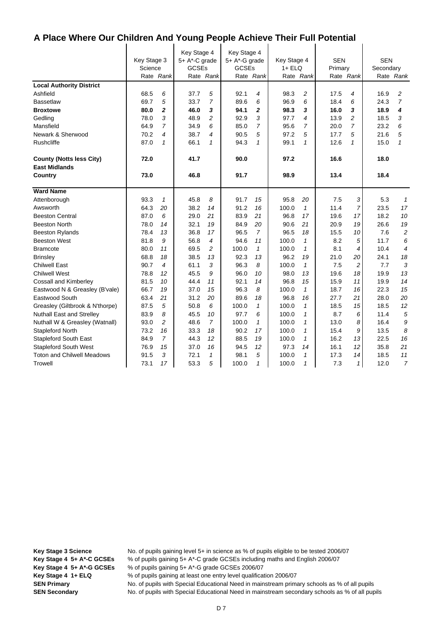|                                   | Key Stage 3<br>Science | Rate Rank      | Key Stage 4<br>5+ A*-C grade<br><b>GCSEs</b> | Rate Rank      | Key Stage 4<br>5+ A*-G grade<br><b>GCSEs</b> | Rate Rank      | Key Stage 4<br>$1 + ELQ$ | Rate Rank      | <b>SEN</b><br>Primary | Rate Rank      | <b>SEN</b><br>Secondary | Rate Rank                |
|-----------------------------------|------------------------|----------------|----------------------------------------------|----------------|----------------------------------------------|----------------|--------------------------|----------------|-----------------------|----------------|-------------------------|--------------------------|
| <b>Local Authority District</b>   |                        |                |                                              |                |                                              |                |                          |                |                       |                |                         |                          |
| Ashfield                          | 68.5                   | 6              | 37.7                                         | 5              | 92.1                                         | 4              | 98.3                     | $\overline{c}$ | 17.5                  | 4              | 16.9                    | 2                        |
| <b>Bassetlaw</b>                  | 69.7                   | 5              | 33.7                                         | $\overline{7}$ | 89.6                                         | 6              | 96.9                     | 6              | 18.4                  | 6              | 24.3                    | $\overline{7}$           |
| <b>Broxtowe</b>                   | 80.0                   | 2              | 46.0                                         | 3              | 94.1                                         | $\mathbf{z}$   | 98.3                     | 3              | 16.0                  | 3              | 18.9                    | 4                        |
| Gedling                           | 78.0                   | 3              | 48.9                                         | $\overline{c}$ | 92.9                                         | 3              | 97.7                     | 4              | 13.9                  | 2              | 18.5                    | 3                        |
| Mansfield                         | 64.9                   | $\overline{7}$ | 34.9                                         | 6              | 85.0                                         | 7              | 95.6                     | $\overline{7}$ | 20.0                  | 7              | 23.2                    | 6                        |
| Newark & Sherwood                 | 70.2                   | 4              | 38.7                                         | 4              | 90.5                                         | 5              | 97.2                     | 5              | 17.7                  | 5              | 21.6                    | 5                        |
| Rushcliffe                        | 87.0                   | $\mathcal I$   | 66.1                                         | $\mathbf{1}$   | 94.3                                         | $\mathbf{1}$   | 99.1                     | $\mathbf{1}$   | 12.6                  | 1              | 15.0                    | $\mathbf{1}$             |
| <b>County (Notts less City)</b>   | 72.0                   |                | 41.7                                         |                | 90.0                                         |                | 97.2                     |                | 16.6                  |                | 18.0                    |                          |
| <b>East Midlands</b>              |                        |                |                                              |                |                                              |                |                          |                |                       |                |                         |                          |
| Country                           | 73.0                   |                | 46.8                                         |                | 91.7                                         |                | 98.9                     |                | 13.4                  |                | 18.4                    |                          |
| <b>Ward Name</b>                  |                        |                |                                              |                |                                              |                |                          |                |                       |                |                         |                          |
| Attenborough                      | 93.3                   | $\mathcal I$   | 45.8                                         | 8              | 91.7                                         | 15             | 95.8                     | 20             | 7.5                   | 3              | 5.3                     | $\mathbf{1}$             |
| Awsworth                          | 64.3                   | 20             | 38.2                                         | 14             | 91.2                                         | 16             | 100.0                    | $\mathbf{1}$   | 11.4                  | $\overline{7}$ | 23.5                    | 17                       |
| <b>Beeston Central</b>            | 87.0                   | 6              | 29.0                                         | 21             | 83.9                                         | 21             | 96.8                     | 17             | 19.6                  | 17             | 18.2                    | 10                       |
| <b>Beeston North</b>              | 78.0                   | 14             | 32.1                                         | 19             | 84.9                                         | 20             | 90.6                     | 21             | 20.9                  | 19             | 26.6                    | 19                       |
| <b>Beeston Rylands</b>            | 78.4                   | 13             | 36.8                                         | 17             | 96.5                                         | $\overline{7}$ | 96.5                     | 18             | 15.5                  | 10             | 7.6                     | $\overline{c}$           |
| <b>Beeston West</b>               | 81.8                   | 9              | 56.8                                         | 4              | 94.6                                         | 11             | 100.0                    | $\mathbf{1}$   | 8.2                   | 5              | 11.7                    | 6                        |
| <b>Bramcote</b>                   | 80.0                   | 11             | 69.5                                         | $\overline{c}$ | 100.0                                        | $\mathbf{1}$   | 100.0                    | $\mathbf{1}$   | 8.1                   | 4              | 10.4                    | $\overline{\mathcal{A}}$ |
| <b>Brinsley</b>                   | 68.8                   | 18             | 38.5                                         | 13             | 92.3                                         | 13             | 96.2                     | 19             | 21.0                  | 20             | 24.1                    | 18                       |
| <b>Chilwell East</b>              | 90.7                   | 4              | 61.1                                         | 3              | 96.3                                         | 8              | 100.0                    | $\mathbf{1}$   | 7.5                   | 2              | 7.7                     | 3                        |
| <b>Chilwell West</b>              | 78.8                   | 12             | 45.5                                         | 9              | 96.0                                         | 10             | 98.0                     | 13             | 19.6                  | 18             | 19.9                    | 13                       |
| Cossall and Kimberley             | 81.5                   | 10             | 44.4                                         | 11             | 92.1                                         | 14             | 96.8                     | 15             | 15.9                  | 11             | 19.9                    | 14                       |
| Eastwood N & Greasley (B'vale)    | 66.7                   | 19             | 37.0                                         | 15             | 96.3                                         | 8              | 100.0                    | $\mathcal I$   | 18.7                  | 16             | 22.3                    | 15                       |
| Eastwood South                    | 63.4                   | 21             | 31.2                                         | 20             | 89.6                                         | 18             | 96.8                     | 16             | 27.7                  | 21             | 28.0                    | 20                       |
| Greasley (Giltbrook & N'thorpe)   | 87.5                   | 5              | 50.8                                         | 6              | 100.0                                        | $\mathbf{1}$   | 100.0                    | $\mathbf{1}$   | 18.5                  | 15             | 18.5                    | 12                       |
| <b>Nuthall East and Strelley</b>  | 83.9                   | 8              | 45.5                                         | 10             | 97.7                                         | 6              | 100.0                    | $\mathbf{1}$   | 8.7                   | 6              | 11.4                    | 5                        |
| Nuthall W & Greasley (Watnall)    | 93.0                   | $\overline{c}$ | 48.6                                         | $\overline{7}$ | 100.0                                        | $\mathcal I$   | 100.0                    | $\mathbf{1}$   | 13.0                  | 8              | 16.4                    | 9                        |
| Stapleford North                  | 73.2                   | 16             | 33.3                                         | 18             | 90.2                                         | 17             | 100.0                    | $\mathbf{1}$   | 15.4                  | 9              | 13.5                    | 8                        |
| <b>Stapleford South East</b>      | 84.9                   | $\overline{7}$ | 44.3                                         | 12             | 88.5                                         | 19             | 100.0                    | $\mathbf{1}$   | 16.2                  | 13             | 22.5                    | 16                       |
| <b>Stapleford South West</b>      | 76.9                   | 15             | 37.0                                         | 16             | 94.5                                         | 12             | 97.3                     | 14             | 16.1                  | 12             | 35.8                    | 21                       |
| <b>Toton and Chilwell Meadows</b> | 91.5                   | 3              | 72.1                                         | 1              | 98.1                                         | 5              | 100.0                    | $\mathbf{1}$   | 17.3                  | 14             | 18.5                    | 11                       |
| Trowell                           | 73.1                   | 17             | 53.3                                         | 5              | 100.0                                        | $\mathcal I$   | 100.0                    | $\mathbf{1}$   | 7.3                   | $1\vert$       | 12.0                    | $\overline{7}$           |

**Key Stage 3 Science** No. of pupils gaining level 5+ in science as % of pupils eligible to be tested 2006/07 **Key Stage 4 5+ A\*-C GCSEs** % of pupils gaining 5+ A\*-C grade GCSEs including maths and English 2006/07

**Key Stage 4 5+ A\*-G GCSEs** % of pupils gaining 5+ A\*-G grade GCSEs 2006/07

**Key Stage 4 1+ ELQ** % of pupils gaining at least one entry level qualification 2006/07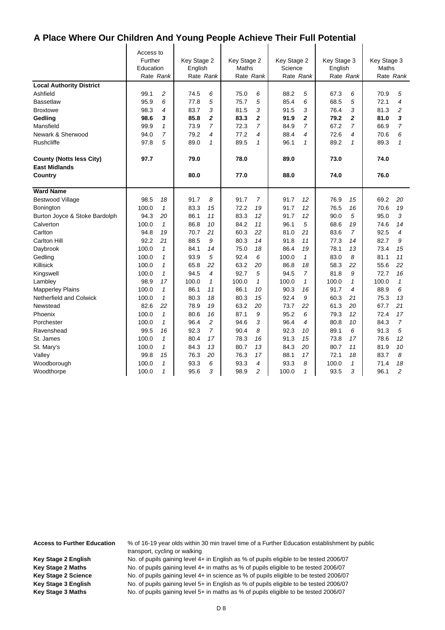$\mathbf{I}$ 

|                                 | Access to |                |             |              |             |                |             |              |             |                |             |                |
|---------------------------------|-----------|----------------|-------------|--------------|-------------|----------------|-------------|--------------|-------------|----------------|-------------|----------------|
|                                 | Further   |                | Key Stage 2 |              | Key Stage 2 |                | Key Stage 2 |              | Key Stage 3 |                | Key Stage 3 |                |
|                                 | Education |                | English     |              | Maths       |                | Science     |              | English     |                | Maths       |                |
|                                 | Rate Rank |                |             | Rate Rank    |             | Rate Rank      |             | Rate Rank    |             | Rate Rank      |             | Rate Rank      |
| <b>Local Authority District</b> |           |                |             |              |             |                |             |              |             |                |             |                |
| Ashfield                        | 99.1      | $\overline{c}$ | 74.5        | 6            | 75.0        | 6              | 88.2        | 5            | 67.3        | 6              | 70.9        | 5              |
| <b>Bassetlaw</b>                | 95.9      | 6              | 77.8        | 5            | 75.7        | 5              | 85.4        | 6            | 68.5        | 5              | 72.1        | 4              |
| <b>Broxtowe</b>                 | 98.3      | $\overline{4}$ | 83.7        | 3            | 81.5        | 3              | 91.5        | 3            | 76.4        | 3              | 81.3        | 2              |
| Gedling                         | 98.6      | 3              | 85.8        | 2            | 83.3        | $\overline{2}$ | 91.9        | $\mathbf{2}$ | 79.2        | $\overline{2}$ | 81.0        | 3              |
| Mansfield                       | 99.9      | $\mathbf{1}$   | 73.9        | 7            | 72.3        | $\overline{7}$ | 84.9        | 7            | 67.2        | $\overline{7}$ | 66.9        | $\overline{7}$ |
| Newark & Sherwood               | 94.0      | $\overline{7}$ | 79.2        | 4            | 77.2        | 4              | 88.4        | 4            | 72.6        | 4              | 70.6        | 6              |
| <b>Rushcliffe</b>               | 97.8      | 5              | 89.0        | 1            | 89.5        | $\mathbf{1}$   | 96.1        | 1            | 89.2        | 1              | 89.3        | $\mathbf{1}$   |
| <b>County (Notts less City)</b> | 97.7      |                | 79.0        |              | 78.0        |                | 89.0        |              | 73.0        |                | 74.0        |                |
| <b>East Midlands</b>            |           |                |             |              |             |                |             |              |             |                |             |                |
| Country                         |           |                | 80.0        |              | 77.0        |                | 88.0        |              | 74.0        |                | 76.0        |                |
| <b>Ward Name</b>                |           |                |             |              |             |                |             |              |             |                |             |                |
| <b>Bestwood Village</b>         | 98.5      | 18             | 91.7        | 8            | 91.7        | 7              | 91.7        | 12           | 76.9        | 15             | 69.2        | 20             |
| Bonington                       | 100.0     | $\mathcal I$   | 83.3        | 15           | 72.2        | 19             | 91.7        | 12           | 76.5        | 16             | 70.6        | 19             |
| Burton Joyce & Stoke Bardolph   | 94.3      | 20             | 86.1        | 11           | 83.3        | 12             | 91.7        | 12           | 90.0        | 5              | 95.0        | 3              |
| Calverton                       | 100.0     | $\mathcal I$   | 86.8        | 10           | 84.2        | 11             | 96.1        | 5            | 68.6        | 19             | 74.6        | 14             |
| Carlton                         | 94.8      | 19             | 70.7        | 21           | 60.3        | 22             | 81.0        | 21           | 83.6        | $\overline{7}$ | 92.5        | 4              |
| <b>Carlton Hill</b>             | 92.2      | 21             | 88.5        | 9            | 80.3        | 14             | 91.8        | 11           | 77.3        | 14             | 82.7        | 9              |
| Daybrook                        | 100.0     | $\mathbf{1}$   | 84.1        | 14           | 75.0        | 18             | 86.4        | 19           | 78.1        | 13             | 73.4        | 15             |
| Gedling                         | 100.0     | $\mathcal I$   | 93.9        | 5            | 92.4        | 6              | 100.0       | $\mathbf{1}$ | 83.0        | 8              | 81.1        | 11             |
| Killisick                       | 100.0     | 1              | 65.8        | 22           | 63.2        | 20             | 86.8        | 18           | 58.3        | 22             | 55.6        | 22             |
| Kingswell                       | 100.0     | $\mathcal I$   | 94.5        | 4            | 92.7        | 5              | 94.5        | 7            | 81.8        | 9              | 72.7        | 16             |
| Lambley                         | 98.9      | 17             | 100.0       | $\mathbf{1}$ | 100.0       | $\mathbf{1}$   | 100.0       | 1            | 100.0       | $\mathbf{1}$   | 100.0       | $\mathbf{1}$   |
| <b>Mapperley Plains</b>         | 100.0     | $\mathbf{1}$   | 86.1        | 11           | 86.1        | 10             | 90.3        | 16           | 91.7        | 4              | 88.9        | 6              |
| <b>Netherfield and Colwick</b>  | 100.0     | $\mathcal I$   | 80.3        | 18           | 80.3        | 15             | 92.4        | 9            | 60.3        | 21             | 75.3        | 13             |
| Newstead                        | 82.6      | 22             | 78.9        | 19           | 63.2        | 20             | 73.7        | 22           | 61.3        | 20             | 67.7        | 21             |
| Phoenix                         | 100.0     | $\mathcal I$   | 80.6        | 16           | 87.1        | 9              | 95.2        | 6            | 79.3        | 12             | 72.4        | 17             |
| Porchester                      | 100.0     | $\mathcal I$   | 96.4        | 2            | 94.6        | 3              | 96.4        | 4            | 80.8        | 10             | 84.3        | $\overline{7}$ |
| Ravenshead                      | 99.5      | 16             | 92.3        | 7            | 90.4        | 8              | 92.3        | 10           | 89.1        | 6              | 91.3        | 5              |
| St. James                       | 100.0     | $\mathcal I$   | 80.4        | 17           | 78.3        | 16             | 91.3        | 15           | 73.8        | 17             | 78.6        | 12             |
| St. Mary's                      | 100.0     | $\mathbf{1}$   | 84.3        | 13           | 80.7        | 13             | 84.3        | 20           | 80.7        | 11             | 81.9        | 10             |
| Valley                          | 99.8      | 15             | 76.3        | 20           | 76.3        | 17             | 88.1        | 17           | 72.1        | 18             | 83.7        | 8              |
| Woodborough                     | 100.0     | $\mathbf{1}$   | 93.3        | 6            | 93.3        | 4              | 93.3        | 8            | 100.0       | $\mathbf{1}$   | 71.4        | 18             |
| Woodthorpe                      | 100.0     | 1              | 95.6        | 3            | 98.9        | 2              | 100.0       | 1            | 93.5        | 3              | 96.1        | 2              |

**Access to Further Education** % of 16-19 year olds within 30 min travel time of a Further Education establishment by public transport, cycling or walking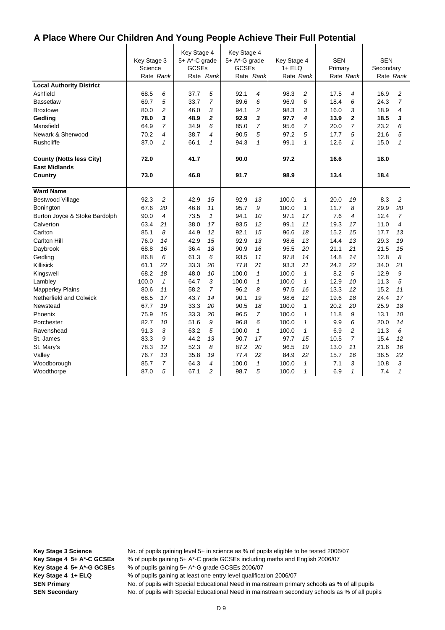|                                 | Key Stage 3<br>Science |                | Key Stage 4<br>5+ A*-C grade<br><b>GCSEs</b> |                | Key Stage 4<br>5+ A*-G grade<br><b>GCSEs</b> |                | Key Stage 4<br>$1 + ELQ$ |                | <b>SEN</b><br>Primary |                | <b>SEN</b><br>Secondary |                |
|---------------------------------|------------------------|----------------|----------------------------------------------|----------------|----------------------------------------------|----------------|--------------------------|----------------|-----------------------|----------------|-------------------------|----------------|
|                                 | Rate Rank              |                |                                              | Rate Rank      |                                              | Rate Rank      | Rate Rank                |                |                       | Rate Rank      |                         | Rate Rank      |
| <b>Local Authority District</b> |                        |                |                                              |                |                                              |                |                          |                |                       |                |                         |                |
| Ashfield                        | 68.5                   | 6              | 37.7                                         | 5              | 92.1                                         | 4              | 98.3                     | $\overline{c}$ | 17.5                  | 4              | 16.9                    | $\overline{c}$ |
| <b>Bassetlaw</b>                | 69.7                   | 5              | 33.7                                         | 7              | 89.6                                         | 6              | 96.9                     | 6              | 18.4                  | 6              | 24.3                    | $\overline{7}$ |
| <b>Broxtowe</b>                 | 80.0                   | $\overline{c}$ | 46.0                                         | 3              | 94.1                                         | 2              | 98.3                     | 3              | 16.0                  | 3              | 18.9                    | 4              |
| Gedling                         | 78.0                   | 3              | 48.9                                         | 2              | 92.9                                         | 3              | 97.7                     | 4              | 13.9                  | $\overline{2}$ | 18.5                    | 3              |
| Mansfield                       | 64.9                   | $\overline{7}$ | 34.9                                         | 6              | 85.0                                         | $\overline{7}$ | 95.6                     | $\overline{7}$ | 20.0                  | $\overline{7}$ | 23.2                    | 6              |
| Newark & Sherwood               | 70.2                   | $\overline{4}$ | 38.7                                         | 4              | 90.5                                         | 5              | 97.2                     | 5              | 17.7                  | 5              | 21.6                    | 5              |
| Rushcliffe                      | 87.0                   | $\mathbf{1}$   | 66.1                                         | $\mathbf{1}$   | 94.3                                         | $\mathbf{1}$   | 99.1                     | $\mathbf{1}$   | 12.6                  | $\mathbf{1}$   | 15.0                    | $\mathbf{1}$   |
| <b>County (Notts less City)</b> | 72.0                   |                | 41.7                                         |                | 90.0                                         |                | 97.2                     |                | 16.6                  |                | 18.0                    |                |
| <b>East Midlands</b>            |                        |                |                                              |                |                                              |                |                          |                |                       |                |                         |                |
| Country                         | 73.0                   |                | 46.8                                         |                | 91.7                                         |                | 98.9                     |                | 13.4                  |                | 18.4                    |                |
| <b>Ward Name</b>                |                        |                |                                              |                |                                              |                |                          |                |                       |                |                         |                |
| <b>Bestwood Village</b>         | 92.3                   | $\overline{c}$ | 42.9                                         | 15             | 92.9                                         | 13             | 100.0                    | $\mathbf{1}$   | 20.0                  | 19             | 8.3                     | $\overline{c}$ |
| Bonington                       | 67.6                   | 20             | 46.8                                         | 11             | 95.7                                         | 9              | 100.0                    | $\mathbf{1}$   | 11.7                  | 8              | 29.9                    | 20             |
| Burton Joyce & Stoke Bardolph   | 90.0                   | $\overline{4}$ | 73.5                                         | $\mathbf{1}$   | 94.1                                         | 10             | 97.1                     | 17             | 7.6                   | 4              | 12.4                    | $\overline{7}$ |
| Calverton                       | 63.4                   | 21             | 38.0                                         | 17             | 93.5                                         | 12             | 99.1                     | 11             | 19.3                  | 17             | 11.0                    | 4              |
| Carlton                         | 85.1                   | 8              | 44.9                                         | 12             | 92.1                                         | 15             | 96.6                     | 18             | 15.2                  | 15             | 17.7                    | 13             |
| <b>Carlton Hill</b>             | 76.0                   | 14             | 42.9                                         | 15             | 92.9                                         | 13             | 98.6                     | 13             | 14.4                  | 13             | 29.3                    | 19             |
| Daybrook                        | 68.8                   | 16             | 36.4                                         | 18             | 90.9                                         | 16             | 95.5                     | 20             | 21.1                  | 21             | 21.5                    | 15             |
| Gedling                         | 86.8                   | 6              | 61.3                                         | 6              | 93.5                                         | 11             | 97.8                     | 14             | 14.8                  | 14             | 12.8                    | 8              |
| Killisick                       | 61.1                   | 22             | 33.3                                         | 20             | 77.8                                         | 21             | 93.3                     | 21             | 24.2                  | 22             | 34.0                    | 21             |
| Kingswell                       | 68.2                   | 18             | 48.0                                         | 10             | 100.0                                        | 1              | 100.0                    | $\mathbf{1}$   | 8.2                   | 5              | 12.9                    | 9              |
| Lambley                         | 100.0                  | $\mathbf{1}$   | 64.7                                         | 3              | 100.0                                        | $\mathbf{1}$   | 100.0                    | $\mathbf{1}$   | 12.9                  | 10             | 11.3                    | 5              |
| <b>Mapperley Plains</b>         | 80.6                   | 11             | 58.2                                         | $\overline{7}$ | 96.2                                         | 8              | 97.5                     | 16             | 13.3                  | 12             | 15.2                    | 11             |
| Netherfield and Colwick         | 68.5                   | 17             | 43.7                                         | 14             | 90.1                                         | 19             | 98.6                     | 12             | 19.6                  | 18             | 24.4                    | 17             |
| Newstead                        | 67.7                   | 19             | 33.3                                         | 20             | 90.5                                         | 18             | 100.0                    | $\mathbf{1}$   | 20.2                  | 20             | 25.9                    | 18             |
| Phoenix                         | 75.9                   | 15             | 33.3                                         | 20             | 96.5                                         | $\overline{7}$ | 100.0                    | $\mathbf{1}$   | 11.8                  | 9              | 13.1                    | 10             |
| Porchester                      | 82.7                   | 10             | 51.6                                         | 9              | 96.8                                         | 6              | 100.0                    | $\mathbf{1}$   | 9.9                   | 6              | 20.0                    | 14             |
| Ravenshead                      | 91.3                   | 3              | 63.2                                         | 5              | 100.0                                        | 1              | 100.0                    | $\mathbf{1}$   | 6.9                   | $\overline{c}$ | 11.3                    | 6              |
| St. James                       | 83.3                   | 9              | 44.2                                         | 13             | 90.7                                         | 17             | 97.7                     | 15             | 10.5                  | $\overline{7}$ | 15.4                    | 12             |
| St. Mary's                      | 78.3                   | 12             | 52.3                                         | 8              | 87.2                                         | 20             | 96.5                     | 19             | 13.0                  | 11             | 21.6                    | 16             |
| Valley                          | 76.7                   | 13             | 35.8                                         | 19             | 77.4                                         | 22             | 84.9                     | 22             | 15.7                  | 16             | 36.5                    | 22             |
| Woodborough                     | 85.7                   | $\overline{7}$ | 64.3                                         | 4              | 100.0                                        | $\mathbf{1}$   | 100.0                    | $\mathbf{1}$   | 7.1                   | 3              | 10.8                    | 3              |
| Woodthorpe                      | 87.0                   | 5              | 67.1                                         | 2              | 98.7                                         | 5              | 100.0                    | 1              | 6.9                   | 1              | 7.4                     | $\mathbf{1}$   |

**Key Stage 3 Science** No. of pupils gaining level 5+ in science as % of pupils eligible to be tested 2006/07 **Key Stage 4 5+ A\*-C GCSEs** % of pupils gaining 5+ A\*-C grade GCSEs including maths and English 2006/07 **Key Stage 4 5+ A\*-G GCSEs** % of pupils gaining 5+ A\*-G grade GCSEs 2006/07 **Key Stage 4 1+ ELQ** % of pupils gaining at least one entry level qualification 2006/07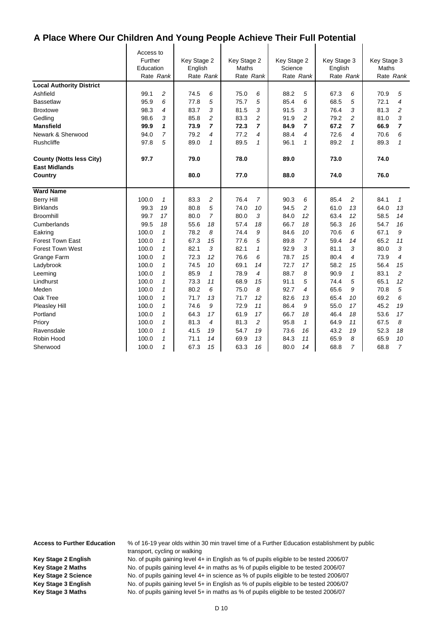$\mathbf{I}$ 

|                                 | Access to<br>Further<br>Education<br>Rate Rank |                | Key Stage 2<br>English<br>Rate Rank |                | Key Stage 2<br>Maths<br>Rate Rank |                | Key Stage 2<br>Science<br>Rate Rank |    | Key Stage 3<br>English<br>Rate Rank |              | Key Stage 3<br>Maths | Rate Rank      |
|---------------------------------|------------------------------------------------|----------------|-------------------------------------|----------------|-----------------------------------|----------------|-------------------------------------|----|-------------------------------------|--------------|----------------------|----------------|
| <b>Local Authority District</b> |                                                |                |                                     |                |                                   |                |                                     |    |                                     |              |                      |                |
| Ashfield                        | 99.1                                           | 2              | 74.5                                | 6              | 75.0                              | 6              | 88.2                                | 5  | 67.3                                | 6            | 70.9                 | 5              |
| <b>Bassetlaw</b>                | 95.9                                           | 6              | 77.8                                | 5              | 75.7                              | 5              | 85.4                                | 6  | 68.5                                | 5            | 72.1                 | 4              |
| <b>Broxtowe</b>                 | 98.3                                           | 4              | 83.7                                | 3              | 81.5                              | 3              | 91.5                                | 3  | 76.4                                | 3            | 81.3                 | 2              |
| Gedling                         | 98.6                                           | 3              | 85.8                                | 2              | 83.3                              | 2              | 91.9                                | 2  | 79.2                                | 2            | 81.0                 | 3              |
| <b>Mansfield</b>                | 99.9                                           | 1              | 73.9                                | 7              | 72.3                              | 7              | 84.9                                | 7  | 67.2                                | 7            | 66.9                 | 7              |
| Newark & Sherwood               | 94.0                                           | $\overline{7}$ | 79.2                                | 4              | 77.2                              | 4              | 88.4                                | 4  | 72.6                                | 4            | 70.6                 | 6              |
| <b>Rushcliffe</b>               | 97.8                                           | 5              | 89.0                                | $\mathbf{1}$   | 89.5                              | 1              | 96.1                                | 1  | 89.2                                | 1            | 89.3                 | $\mathbf{1}$   |
|                                 |                                                |                |                                     |                |                                   |                |                                     |    |                                     |              |                      |                |
| <b>County (Notts less City)</b> | 97.7                                           |                | 79.0                                |                | 78.0                              |                | 89.0                                |    | 73.0                                |              | 74.0                 |                |
| <b>East Midlands</b>            |                                                |                |                                     |                |                                   |                |                                     |    |                                     |              |                      |                |
| Country                         |                                                |                | 80.0                                |                | 77.0                              |                | 88.0                                |    | 74.0                                |              | 76.0                 |                |
| <b>Ward Name</b>                |                                                |                |                                     |                |                                   |                |                                     |    |                                     |              |                      |                |
| <b>Berry Hill</b>               | 100.0                                          | $\mathcal I$   | 83.3                                | 2              | 76.4                              | $\overline{7}$ | 90.3                                | 6  | 85.4                                | 2            | 84.1                 | $\mathbf{1}$   |
| <b>Birklands</b>                | 99.3                                           | 19             | 80.8                                | 5              | 74.0                              | 10             | 94.5                                | 2  | 61.0                                | 13           | 64.0                 | 13             |
| <b>Broomhill</b>                | 99.7                                           | 17             | 80.0                                | $\overline{7}$ | 80.0                              | 3              | 84.0                                | 12 | 63.4                                | 12           | 58.5                 | 14             |
| Cumberlands                     | 99.5                                           | 18             | 55.6                                | 18             | 57.4                              | 18             | 66.7                                | 18 | 56.3                                | 16           | 54.7                 | 16             |
| Eakring                         | 100.0                                          | $\mathbf{1}$   | 78.2                                | 8              | 74.4                              | 9              | 84.6                                | 10 | 70.6                                | 6            | 67.1                 | 9              |
| <b>Forest Town East</b>         | 100.0                                          | $\mathcal I$   | 67.3                                | 15             | 77.6                              | 5              | 89.8                                | 7  | 59.4                                | 14           | 65.2                 | 11             |
| <b>Forest Town West</b>         | 100.0                                          | $\mathcal I$   | 82.1                                | 3              | 82.1                              | 1              | 92.9                                | 3  | 81.1                                | 3            | 80.0                 | 3              |
| Grange Farm                     | 100.0                                          | 1              | 72.3                                | 12             | 76.6                              | 6              | 78.7                                | 15 | 80.4                                | 4            | 73.9                 | 4              |
| Ladybrook                       | 100.0                                          | 1              | 74.5                                | 10             | 69.1                              | 14             | 72.7                                | 17 | 58.2                                | 15           | 56.4                 | 15             |
| Leeming                         | 100.0                                          | 1              | 85.9                                | $\mathbf{1}$   | 78.9                              | 4              | 88.7                                | 8  | 90.9                                | $\mathbf{1}$ | 83.1                 | 2              |
| Lindhurst                       | 100.0                                          | 1              | 73.3                                | 11             | 68.9                              | 15             | 91.1                                | 5  | 74.4                                | 5            | 65.1                 | 12             |
| Meden                           | 100.0                                          | 1              | 80.2                                | 6              | 75.0                              | 8              | 92.7                                | 4  | 65.6                                | 9            | 70.8                 | 5              |
| Oak Tree                        | 100.0                                          | 1              | 71.7                                | 13             | 71.7                              | 12             | 82.6                                | 13 | 65.4                                | 10           | 69.2                 | 6              |
| Pleasley Hill                   | 100.0                                          | 1              | 74.6                                | 9              | 72.9                              | 11             | 86.4                                | 9  | 55.0                                | 17           | 45.2                 | 19             |
| Portland                        | 100.0                                          | 1              | 64.3                                | 17             | 61.9                              | 17             | 66.7                                | 18 | 46.4                                | 18           | 53.6                 | 17             |
| Priory                          | 100.0                                          | 1              | 81.3                                | 4              | 81.3                              | 2              | 95.8                                | 1  | 64.9                                | 11           | 67.5                 | 8              |
| Ravensdale                      | 100.0                                          | 1              | 41.5                                | 19             | 54.7                              | 19             | 73.6                                | 16 | 43.2                                | 19           | 52.3                 | 18             |
| Robin Hood                      | 100.0                                          | $\mathcal I$   | 71.1                                | 14             | 69.9                              | 13             | 84.3                                | 11 | 65.9                                | 8            | 65.9                 | 10             |
| Sherwood                        | 100.0                                          | 1              | 67.3                                | 15             | 63.3                              | 16             | 80.0                                | 14 | 68.8                                | 7            | 68.8                 | $\overline{7}$ |

**Access to Further Education** % of 16-19 year olds within 30 min travel time of a Further Education establishment by public transport, cycling or walking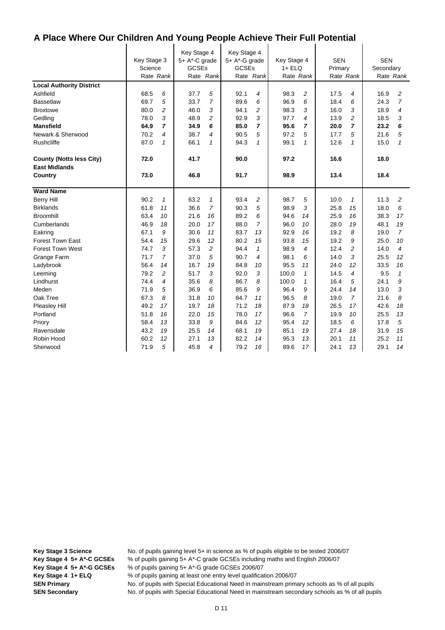|                                 | Key Stage 3<br>Science<br>Rate Rank |                | Key Stage 4<br>$5+ A^*$ -C grade<br><b>GCSEs</b> | Rate Rank   | Key Stage 4<br>5+ A*-G grade<br><b>GCSEs</b> | Rate Rank      | Key Stage 4<br>$1 + ELQ$<br>Rate Rank |                | <b>SEN</b><br>Primary | Rate Rank      | <b>SEN</b><br>Secondary | Rate Rank      |
|---------------------------------|-------------------------------------|----------------|--------------------------------------------------|-------------|----------------------------------------------|----------------|---------------------------------------|----------------|-----------------------|----------------|-------------------------|----------------|
| <b>Local Authority District</b> |                                     |                |                                                  |             |                                              |                |                                       |                |                       |                |                         |                |
| Ashfield                        | 68.5                                | 6              | 37.7                                             | 5           | 92.1                                         | 4              | 98.3                                  | $\overline{c}$ | 17.5                  | 4              | 16.9                    | 2              |
| <b>Bassetlaw</b>                | 69.7                                | 5              | 33.7                                             | 7           | 89.6                                         | 6              | 96.9                                  | 6              | 18.4                  | 6              | 24.3                    | $\overline{7}$ |
| <b>Broxtowe</b>                 | 80.0                                | $\overline{c}$ | 46.0                                             | 3           | 94.1                                         | 2              | 98.3                                  | 3              | 16.0                  | 3              | 18.9                    | 4              |
| Gedling                         | 78.0                                | 3              | 48.9                                             | 2           | 92.9                                         | 3              | 97.7                                  | 4              | 13.9                  | 2              | 18.5                    | 3              |
| <b>Mansfield</b>                | 64.9                                | $\overline{ }$ | 34.9                                             | 6           | 85.0                                         | 7              | 95.6                                  | 7              | 20.0                  | $\overline{7}$ | 23.2                    | 6              |
| Newark & Sherwood               | 70.2                                | 4              | 38.7                                             | 4           | 90.5                                         | 5              | 97.2                                  | 5              | 17.7                  | 5              | 21.6                    | 5              |
| Rushcliffe                      | 87.0                                | $\mathcal I$   | 66.1                                             | $\mathbf 1$ | 94.3                                         | 1              | 99.1                                  | 1              | 12.6                  | $\mathbf{1}$   | 15.0                    | $\mathbf{1}$   |
| <b>County (Notts less City)</b> | 72.0                                |                | 41.7                                             |             | 90.0                                         |                | 97.2                                  |                | 16.6                  |                | 18.0                    |                |
| <b>East Midlands</b>            |                                     |                |                                                  |             |                                              |                |                                       |                |                       |                |                         |                |
| Country                         | 73.0                                |                | 46.8                                             |             | 91.7                                         |                | 98.9                                  |                | 13.4                  |                | 18.4                    |                |
| <b>Ward Name</b>                |                                     |                |                                                  |             |                                              |                |                                       |                |                       |                |                         |                |
| <b>Berry Hill</b>               | 90.2                                | $\mathcal I$   | 63.2                                             | 1           | 93.4                                         | 2              | 98.7                                  | 5              | 10.0                  | 1              | 11.3                    | 2              |
| <b>Birklands</b>                | 61.8                                | 11             | 36.6                                             | 7           | 90.3                                         | 5              | 98.9                                  | 3              | 25.8                  | 15             | 18.0                    | 6              |
| <b>Broomhill</b>                | 63.4                                | 10             | 21.6                                             | 16          | 89.2                                         | 6              | 94.6                                  | 14             | 25.9                  | 16             | 38.3                    | 17             |
| Cumberlands                     | 46.9                                | 18             | 20.0                                             | 17          | 88.0                                         | $\overline{7}$ | 96.0                                  | 10             | 28.0                  | 19             | 48.1                    | 19             |
| Eakring                         | 67.1                                | 9              | 30.6                                             | 11          | 83.7                                         | 13             | 92.9                                  | 16             | 19.2                  | 8              | 19.0                    | $\overline{7}$ |
| <b>Forest Town East</b>         | 54.4                                | 15             | 29.6                                             | 12          | 80.2                                         | 15             | 93.8                                  | 15             | 19.2                  | 9              | 25.0                    | 10             |
| <b>Forest Town West</b>         | 74.7                                | 3              | 57.3                                             | 2           | 94.4                                         | 1              | 98.9                                  | 4              | 12.4                  | 2              | 14.0                    | 4              |
| Grange Farm                     | 71.7                                | $\overline{7}$ | 37.0                                             | 5           | 90.7                                         | 4              | 98.1                                  | 6              | 14.0                  | 3              | 25.5                    | 12             |
| Ladybrook                       | 56.4                                | 14             | 16.7                                             | 19          | 84.8                                         | 10             | 95.5                                  | 11             | 24.0                  | 12             | 33.5                    | 16             |
| Leeming                         | 79.2                                | $\overline{c}$ | 51.7                                             | 3           | 92.0                                         | 3              | 100.0                                 | $\mathbf{1}$   | 14.5                  | 4              | 9.5                     | $\mathbf{1}$   |
| Lindhurst                       | 74.4                                | 4              | 35.6                                             | 8           | 86.7                                         | 8              | 100.0                                 | 1              | 16.4                  | 5              | 24.1                    | 9              |
| Meden                           | 71.9                                | 5              | 36.9                                             | 6           | 85.6                                         | 9              | 96.4                                  | 9              | 24.4                  | 14             | 13.0                    | 3              |
| Oak Tree                        | 67.3                                | 8              | 31.8                                             | 10          | 84.7                                         | 11             | 96.5                                  | 8              | 19.0                  | $\overline{7}$ | 21.6                    | 8              |
| Pleasley Hill                   | 49.2                                | 17             | 19.7                                             | 18          | 71.2                                         | 18             | 87.9                                  | 18             | 26.5                  | 17             | 42.6                    | 18             |
| Portland                        | 51.8                                | 16             | 22.0                                             | 15          | 78.0                                         | 17             | 96.6                                  | 7              | 19.9                  | 10             | 25.5                    | 13             |
| Priory                          | 58.4                                | 13             | 33.8                                             | 9           | 84.6                                         | 12             | 95.4                                  | 12             | 18.5                  | 6              | 17.8                    | 5              |
| Ravensdale                      | 43.2                                | 19             | 25.5                                             | 14          | 68.1                                         | 19             | 85.1                                  | 19             | 27.4                  | 18             | 31.9                    | 15             |
| Robin Hood                      | 60.2                                | 12             | 27.1                                             | 13          | 82.2                                         | 14             | 95.3                                  | 13             | 20.1                  | 11             | 25.2                    | 11             |
| Sherwood                        | 71.9                                | 5              | 45.8                                             | 4           | 79.2                                         | 16             | 89.6                                  | 17             | 24.1                  | 13             | 29.1                    | 14             |

**Key Stage 3 Science** No. of pupils gaining level 5+ in science as % of pupils eligible to be tested 2006/07 **Key Stage 4 5+ A\*-C GCSEs** % of pupils gaining 5+ A\*-C grade GCSEs including maths and English 2006/07 **Key Stage 4 5+ A\*-G GCSEs** % of pupils gaining 5+ A\*-G grade GCSEs 2006/07

**Key Stage 4 1+ ELQ** % of pupils gaining at least one entry level qualification 2006/07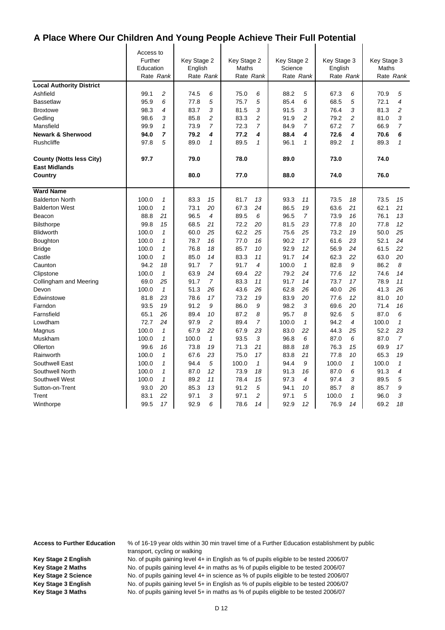$\mathbf{I}$ 

|                                 | Access to |                |             |                          |             |                |             |                |             |                |             |                |
|---------------------------------|-----------|----------------|-------------|--------------------------|-------------|----------------|-------------|----------------|-------------|----------------|-------------|----------------|
|                                 | Further   |                | Key Stage 2 |                          | Key Stage 2 |                | Key Stage 2 |                | Key Stage 3 |                | Key Stage 3 |                |
|                                 | Education |                | English     |                          | Maths       |                | Science     |                | English     |                | Maths       |                |
|                                 | Rate Rank |                |             | Rate Rank                | Rate Rank   |                | Rate Rank   |                | Rate Rank   |                |             | Rate Rank      |
| <b>Local Authority District</b> |           |                |             |                          |             |                |             |                |             |                |             |                |
| Ashfield                        | 99.1      | 2              | 74.5        | 6                        | 75.0        | 6              | 88.2        | 5              | 67.3        | 6              | 70.9        | 5              |
| <b>Bassetlaw</b>                | 95.9      | 6              | 77.8        | 5                        | 75.7        | 5              | 85.4        | 6              | 68.5        | 5              | 72.1        | 4              |
| <b>Broxtowe</b>                 | 98.3      | $\overline{4}$ | 83.7        | 3                        | 81.5        | 3              | 91.5        | 3              | 76.4        | 3              | 81.3        | $\overline{c}$ |
| Gedling                         | 98.6      | 3              | 85.8        | 2                        | 83.3        | 2              | 91.9        | $\overline{c}$ | 79.2        | 2              | 81.0        | 3              |
| Mansfield                       | 99.9      | 1              | 73.9        | $\overline{7}$           | 72.3        | $\overline{7}$ | 84.9        | 7              | 67.2        | $\overline{7}$ | 66.9        | $\overline{7}$ |
| <b>Newark &amp; Sherwood</b>    | 94.0      | $\overline{7}$ | 79.2        | 4                        | 77.2        | 4              | 88.4        | 4              | 72.6        | 4              | 70.6        | 6              |
| <b>Rushcliffe</b>               | 97.8      | 5              | 89.0        | $\mathbf{1}$             | 89.5        | 1              | 96.1        | $\mathbf{1}$   | 89.2        | $\mathbf{1}$   | 89.3        | $\mathbf{1}$   |
| <b>County (Notts less City)</b> | 97.7      |                | 79.0        |                          | 78.0        |                | 89.0        |                | 73.0        |                | 74.0        |                |
| <b>East Midlands</b>            |           |                |             |                          |             |                |             |                |             |                |             |                |
| Country                         |           |                | 80.0        |                          | 77.0        |                | 88.0        |                | 74.0        |                | 76.0        |                |
| <b>Ward Name</b>                |           |                |             |                          |             |                |             |                |             |                |             |                |
| <b>Balderton North</b>          | 100.0     | 1              | 83.3        | 15                       | 81.7        | 13             | 93.3        | 11             | 73.5        | 18             | 73.5        | 15             |
| <b>Balderton West</b>           | 100.0     | $\mathbf{1}$   | 73.1        | 20                       | 67.3        | 24             | 86.5        | 19             | 63.6        | 21             | 62.1        | 21             |
| Beacon                          | 88.8      | 21             | 96.5        | $\overline{\mathcal{A}}$ | 89.5        | 6              | 96.5        | $\overline{7}$ | 73.9        | 16             | 76.1        | 13             |
| <b>Bilsthorpe</b>               | 99.8      | 15             | 68.5        | 21                       | 72.2        | 20             | 81.5        | 23             | 77.8        | 10             | 77.8        | 12             |
| <b>Blidworth</b>                | 100.0     | $\mathbf{1}$   | 60.0        | 25                       | 62.2        | 25             | 75.6        | 25             | 73.2        | 19             | 50.0        | 25             |
| Boughton                        | 100.0     | 1              | 78.7        | 16                       | 77.0        | 16             | 90.2        | 17             | 61.6        | 23             | 52.1        | 24             |
| <b>Bridge</b>                   | 100.0     | $\mathbf{1}$   | 76.8        | 18                       | 85.7        | 10             | 92.9        | 12             | 56.9        | 24             | 61.5        | 22             |
| Castle                          | 100.0     | 1              | 85.0        | 14                       | 83.3        | 11             | 91.7        | 14             | 62.3        | 22             | 63.0        | 20             |
| Caunton                         | 94.2      | 18             | 91.7        | $\overline{7}$           | 91.7        | 4              | 100.0       | $\mathcal I$   | 82.8        | 9              | 86.2        | 8              |
| Clipstone                       | 100.0     | $\mathbf{1}$   | 63.9        | 24                       | 69.4        | 22             | 79.2        | 24             | 77.6        | 12             | 74.6        | 14             |
| Collingham and Meering          | 69.0      | 25             | 91.7        | 7                        | 83.3        | 11             | 91.7        | 14             | 73.7        | 17             | 78.9        | 11             |
| Devon                           | 100.0     | $\mathbf{1}$   | 51.3        | 26                       | 43.6        | 26             | 62.8        | 26             | 40.0        | 26             | 41.3        | 26             |
| Edwinstowe                      | 81.8      | 23             | 78.6        | 17                       | 73.2        | 19             | 83.9        | 20             | 77.6        | 12             | 81.0        | 10             |
| Farndon                         | 93.5      | 19             | 91.2        | 9                        | 86.0        | 9              | 98.2        | 3              | 69.6        | 20             | 71.4        | 16             |
| Farnsfield                      | 65.1      | 26             | 89.4        | 10                       | 87.2        | 8              | 95.7        | 8              | 92.6        | 5              | 87.0        | 6              |
| Lowdham                         | 72.7      | 24             | 97.9        | $\overline{c}$           | 89.4        | $\overline{7}$ | 100.0       | $\mathbf{1}$   | 94.2        | 4              | 100.0       | $\mathbf{1}$   |
| Magnus                          | 100.0     | $\mathbf{1}$   | 67.9        | 22                       | 67.9        | 23             | 83.0        | 22             | 44.3        | 25             | 52.2        | 23             |
| Muskham                         | 100.0     | $\mathbf{1}$   | 100.0       | $\mathbf{1}$             | 93.5        | 3              | 96.8        | 6              | 87.0        | 6              | 87.0        | $\overline{7}$ |
| Ollerton                        | 99.6      | 16             | 73.8        | 19                       | 71.3        | 21             | 88.8        | 18             | 76.3        | 15             | 69.9        | 17             |
| Rainworth                       | 100.0     | $\mathbf{1}$   | 67.6        | 23                       | 75.0        | 17             | 83.8        | 21             | 77.8        | 10             | 65.3        | 19             |
| Southwell East                  | 100.0     | 1              | 94.4        | 5                        | 100.0       | 1              | 94.4        | 9              | 100.0       | $\mathbf{1}$   | 100.0       | $\mathbf{1}$   |
| Southwell North                 | 100.0     | 1              | 87.0        | 12                       | 73.9        | 18             | 91.3        | 16             | 87.0        | 6              | 91.3        | 4              |
| Southwell West                  | 100.0     | $\mathbf{1}$   | 89.2        | 11                       | 78.4        | 15             | 97.3        | 4              | 97.4        | 3              | 89.5        | 5              |
| Sutton-on-Trent                 | 93.0      | 20             | 85.3        | 13                       | 91.2        | 5              | 94.1        | 10             | 85.7        | 8              | 85.7        | 9              |
| Trent                           | 83.1      | 22             | 97.1        | 3                        | 97.1        | $\overline{c}$ | 97.1        | 5              | 100.0       | $\mathcal I$   | 96.0        | 3              |
| Winthorpe                       | 99.5      | 17             | 92.9        | 6                        | 78.6        | 14             | 92.9        | 12             | 76.9        | 14             | 69.2        | 18             |

**Access to Further Education** % of 16-19 year olds within 30 min travel time of a Further Education establishment by public transport, cycling or walking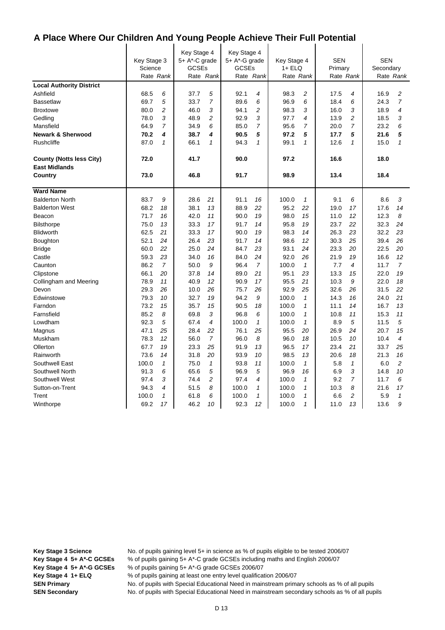|                                 | Key Stage 3<br>Science |                | Key Stage 4<br>5+ A*-C grade<br><b>GCSEs</b> |                | Key Stage 4<br>5+ A*-G grade<br><b>GCSEs</b> |                         | Key Stage 4<br>1+ ELQ |              | <b>SEN</b><br>Primary |                | <b>SEN</b><br>Secondary |                |
|---------------------------------|------------------------|----------------|----------------------------------------------|----------------|----------------------------------------------|-------------------------|-----------------------|--------------|-----------------------|----------------|-------------------------|----------------|
|                                 | Rate Rank              |                |                                              | Rate Rank      |                                              | Rate Rank               | Rate Rank             |              |                       | Rate Rank      |                         | Rate Rank      |
| <b>Local Authority District</b> |                        |                |                                              |                |                                              |                         |                       |              |                       |                |                         |                |
| Ashfield                        | 68.5                   | 6              | 37.7                                         | 5              | 92.1                                         | 4                       | 98.3                  | 2            | 17.5                  | 4              | 16.9                    | 2              |
| <b>Bassetlaw</b>                | 69.7                   | 5              | 33.7                                         | 7              | 89.6                                         | 6                       | 96.9                  | 6            | 18.4                  | 6              | 24.3                    | $\overline{7}$ |
| <b>Broxtowe</b>                 | 80.0                   | $\overline{c}$ | 46.0                                         | 3              | 94.1                                         | $\overline{\mathbf{c}}$ | 98.3                  | 3            | 16.0                  | 3              | 18.9                    | 4              |
| Gedling                         | 78.0                   | 3              | 48.9                                         | 2              | 92.9                                         | 3                       | 97.7                  | 4            | 13.9                  | 2              | 18.5                    | 3              |
| Mansfield                       | 64.9                   | $\overline{7}$ | 34.9                                         | 6              | 85.0                                         | 7                       | 95.6                  | 7            | 20.0                  | $\overline{7}$ | 23.2                    | 6              |
| <b>Newark &amp; Sherwood</b>    | 70.2                   | 4              | 38.7                                         | 4              | 90.5                                         | 5                       | 97.2                  | 5            | 17.7                  | 5              | 21.6                    | 5              |
| <b>Rushcliffe</b>               | 87.0                   | 1              | 66.1                                         | $\mathbf{1}$   | 94.3                                         | $\mathbf{1}$            | 99.1                  | $\mathbf{1}$ | 12.6                  | $\mathbf{1}$   | 15.0                    | $\mathbf{1}$   |
| <b>County (Notts less City)</b> | 72.0                   |                | 41.7                                         |                | 90.0                                         |                         | 97.2                  |              | 16.6                  |                | 18.0                    |                |
| <b>East Midlands</b>            |                        |                |                                              |                |                                              |                         |                       |              |                       |                |                         |                |
| Country                         | 73.0                   |                | 46.8                                         |                | 91.7                                         |                         | 98.9                  |              | 13.4                  |                | 18.4                    |                |
| <b>Ward Name</b>                |                        |                |                                              |                |                                              |                         |                       |              |                       |                |                         |                |
| <b>Balderton North</b>          | 83.7                   | 9              | 28.6                                         | 21             | 91.1                                         | 16                      | 100.0                 | $\mathbf{1}$ | 9.1                   | 6              | 8.6                     | 3              |
| <b>Balderton West</b>           | 68.2                   | 18             | 38.1                                         | 13             | 88.9                                         | 22                      | 95.2                  | 22           | 19.0                  | 17             | 17.6                    | 14             |
| Beacon                          | 71.7                   | 16             | 42.0                                         | 11             | 90.0                                         | 19                      | 98.0                  | 15           | 11.0                  | 12             | 12.3                    | 8              |
| <b>Bilsthorpe</b>               | 75.0                   | 13             | 33.3                                         | 17             | 91.7                                         | 14                      | 95.8                  | 19           | 23.7                  | 22             | 32.3                    | 24             |
| <b>Blidworth</b>                | 62.5                   | 21             | 33.3                                         | 17             | 90.0                                         | 19                      | 98.3                  | 14           | 26.3                  | 23             | 32.2                    | 23             |
| Boughton                        | 52.1                   | 24             | 26.4                                         | 23             | 91.7                                         | 14                      | 98.6                  | 12           | 30.3                  | 25             | 39.4                    | 26             |
| <b>Bridge</b>                   | 60.0                   | 22             | 25.0                                         | 24             | 84.7                                         | 23                      | 93.1                  | 24           | 23.3                  | 20             | 22.5                    | 20             |
| Castle                          | 59.3                   | 23             | 34.0                                         | 16             | 84.0                                         | 24                      | 92.0                  | 26           | 21.9                  | 19             | 16.6                    | 12             |
| Caunton                         | 86.2                   | $\overline{7}$ | 50.0                                         | 9              | 96.4                                         | $\overline{7}$          | 100.0                 | $\mathbf{1}$ | 7.7                   | 4              | 11.7                    | 7              |
| Clipstone                       | 66.1                   | 20             | 37.8                                         | 14             | 89.0                                         | 21                      | 95.1                  | 23           | 13.3                  | 15             | 22.0                    | 19             |
| Collingham and Meering          | 78.9                   | 11             | 40.9                                         | 12             | 90.9                                         | 17                      | 95.5                  | 21           | 10.3                  | 9              | 22.0                    | 18             |
| Devon                           | 29.3                   | 26             | 10.0                                         | 26             | 75.7                                         | 26                      | 92.9                  | 25           | 32.6                  | 26             | 31.5                    | 22             |
| Edwinstowe                      | 79.3                   | 10             | 32.7                                         | 19             | 94.2                                         | 9                       | 100.0                 | $\mathbf{1}$ | 14.3                  | 16             | 24.0                    | 21             |
| Farndon                         | 73.2                   | 15             | 35.7                                         | 15             | 90.5                                         | 18                      | 100.0                 | $\mathbf{1}$ | 11.1                  | 14             | 16.7                    | 13             |
| Farnsfield                      | 85.2                   | 8              | 69.8                                         | 3              | 96.8                                         | 6                       | 100.0                 | $\mathbf{1}$ | 10.8                  | 11             | 15.3                    | 11             |
| Lowdham                         | 92.3                   | 5              | 67.4                                         | 4              | 100.0                                        | $\mathbf{1}$            | 100.0                 | $\mathbf{1}$ | 8.9                   | 5              | 11.5                    | 5              |
| Magnus                          | 47.1                   | 25             | 28.4                                         | 22             | 76.1                                         | 25                      | 95.5                  | 20           | 26.9                  | 24             | 20.7                    | 15             |
| Muskham                         | 78.3                   | 12             | 56.0                                         | $\overline{7}$ | 96.0                                         | 8                       | 96.0                  | 18           | 10.5                  | 10             | 10.4                    | 4              |
| Ollerton                        | 67.7                   | 19             | 23.3                                         | 25             | 91.9                                         | 13                      | 96.5                  | 17           | 23.4                  | 21             | 33.7                    | 25             |
| Rainworth                       | 73.6                   | 14             | 31.8                                         | 20             | 93.9                                         | 10                      | 98.5                  | 13           | 20.6                  | 18             | 21.3                    | 16             |
| Southwell East                  | 100.0                  | $\mathbf{1}$   | 75.0                                         | $\mathbf{1}$   | 93.8                                         | 11                      | 100.0                 | $\mathbf{1}$ | 5.8                   | $\mathcal I$   | 6.0                     | 2              |
| Southwell North                 | 91.3                   | 6              | 65.6                                         | 5              | 96.9                                         | 5                       | 96.9                  | 16           | 6.9                   | 3              | 14.8                    | 10             |
| Southwell West                  | 97.4                   | 3              | 74.4                                         | $\overline{c}$ | 97.4                                         | 4                       | 100.0                 | $\mathbf{1}$ | 9.2                   | $\overline{7}$ | 11.7                    | 6              |
| Sutton-on-Trent                 | 94.3                   | 4              | 51.5                                         | 8              | 100.0                                        | 1                       | 100.0                 | $\mathbf{1}$ | 10.3                  | 8              | 21.6                    | 17             |
| Trent                           | 100.0                  | $\mathbf{1}$   | 61.8                                         | 6              | 100.0                                        | $\mathbf{1}$            | 100.0                 | $\mathbf{1}$ | 6.6                   | 2              | 5.9                     | $\mathbf{1}$   |
| Winthorpe                       | 69.2                   | 17             | 46.2                                         | 10             | 92.3                                         | 12                      | 100.0                 | $\mathbf{1}$ | 11.0                  | 13             | 13.6                    | 9              |

**Key Stage 3 Science** No. of pupils gaining level 5+ in science as % of pupils eligible to be tested 2006/07 **Key Stage 4 5+ A\*-C GCSEs** % of pupils gaining 5+ A\*-C grade GCSEs including maths and English 2006/07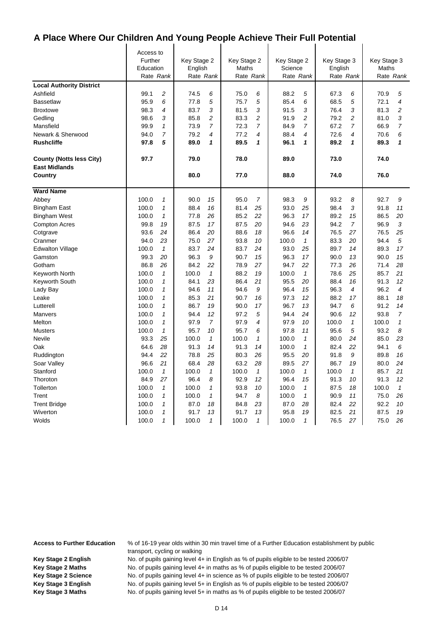$\mathbf{I}$ 

|                                                         | Access to<br>Further<br>Education<br>Rate Rank |                | Key Stage 2<br>English<br>Rate Rank |                | Key Stage 2<br>Maths<br>Rate Rank |                | Key Stage 2<br>Science<br>Rate Rank |                | Key Stage 3<br>English<br>Rate Rank |                | Key Stage 3<br>Maths<br>Rate Rank |                |
|---------------------------------------------------------|------------------------------------------------|----------------|-------------------------------------|----------------|-----------------------------------|----------------|-------------------------------------|----------------|-------------------------------------|----------------|-----------------------------------|----------------|
| <b>Local Authority District</b>                         |                                                |                |                                     |                |                                   |                |                                     |                |                                     |                |                                   |                |
| Ashfield                                                | 99.1                                           | $\overline{c}$ | 74.5                                | 6              | 75.0                              | 6              | 88.2                                | 5              | 67.3                                | 6              | 70.9                              | 5              |
| <b>Bassetlaw</b>                                        | 95.9                                           | 6              | 77.8                                | 5              | 75.7                              | 5              | 85.4                                | 6              | 68.5                                | 5              | 72.1                              | 4              |
| <b>Broxtowe</b>                                         | 98.3                                           | $\overline{4}$ | 83.7                                | 3              | 81.5                              | 3              | 91.5                                | 3              | 76.4                                | 3              | 81.3                              | 2              |
| Gedling                                                 | 98.6                                           | 3              | 85.8                                | 2              | 83.3                              | $\overline{c}$ | 91.9                                | $\overline{c}$ | 79.2                                | 2              | 81.0                              | 3              |
| Mansfield                                               | 99.9                                           | 1              | 73.9                                | $\overline{7}$ | 72.3                              | $\overline{7}$ | 84.9                                | $\overline{7}$ | 67.2                                | $\overline{7}$ | 66.9                              | $\overline{7}$ |
| Newark & Sherwood                                       | 94.0                                           | $\overline{7}$ | 79.2                                | 4              | 77.2                              | 4              | 88.4                                | 4              | 72.6                                | 4              | 70.6                              | 6              |
| <b>Rushcliffe</b>                                       | 97.8                                           | 5              | 89.0                                | 1              | 89.5                              | 1              | 96.1                                | 1              | 89.2                                | 1              | 89.3                              | 1              |
| <b>County (Notts less City)</b><br><b>East Midlands</b> | 97.7                                           |                | 79.0                                |                | 78.0                              |                | 89.0                                |                | 73.0                                |                | 74.0                              |                |
| Country                                                 |                                                |                | 80.0                                |                | 77.0                              |                | 88.0                                |                | 74.0                                |                | 76.0                              |                |
| <b>Ward Name</b>                                        |                                                |                |                                     |                |                                   |                |                                     |                |                                     |                |                                   |                |
| Abbey                                                   | 100.0                                          | $\mathbf{1}$   | 90.0                                | 15             | 95.0                              | $\overline{7}$ | 98.3                                | 9              | 93.2                                | 8              | 92.7                              | 9              |
| <b>Bingham East</b>                                     | 100.0                                          | $\mathbf{1}$   | 88.4                                | 16             | 81.4                              | 25             | 93.0                                | 25             | 98.4                                | 3              | 91.8                              | 11             |
| <b>Bingham West</b>                                     | 100.0                                          | 1              | 77.8                                | 26             | 85.2                              | 22             | 96.3                                | 17             | 89.2                                | 15             | 86.5                              | 20             |
| <b>Compton Acres</b>                                    | 99.8                                           | 19             | 87.5                                | 17             | 87.5                              | 20             | 94.6                                | 23             | 94.2                                | $\overline{7}$ | 96.9                              | 3              |
| Cotgrave                                                | 93.6                                           | 24             | 86.4                                | 20             | 88.6                              | 18             | 96.6                                | 14             | 76.5                                | 27             | 76.5                              | 25             |
| Cranmer                                                 | 94.0                                           | 23             | 75.0                                | 27             | 93.8                              | 10             | 100.0                               | $\mathbf{1}$   | 83.3                                | 20             | 94.4                              | 5              |
| <b>Edwalton Village</b>                                 | 100.0                                          | $\mathbf{1}$   | 83.7                                | 24             | 83.7                              | 24             | 93.0                                | 25             | 89.7                                | 14             | 89.3                              | 17             |
| Gamston                                                 | 99.3                                           | 20             | 96.3                                | 9              | 90.7                              | 15             | 96.3                                | 17             | 90.0                                | 13             | 90.0                              | 15             |
| Gotham                                                  | 86.8                                           | 26             | 84.2                                | 22             | 78.9                              | 27             | 94.7                                | 22             | 77.3                                | 26             | 71.4                              | 28             |
| Keyworth North                                          | 100.0                                          | $\mathbf{1}$   | 100.0                               | $\mathbf{1}$   | 88.2                              | 19             | 100.0                               | $\mathbf{1}$   | 78.6                                | 25             | 85.7                              | 21             |
| Keyworth South                                          | 100.0                                          | 1              | 84.1                                | 23             | 86.4                              | 21             | 95.5                                | 20             | 88.4                                | 16             | 91.3                              | 12             |
| Lady Bay                                                | 100.0                                          | 1              | 94.6                                | 11             | 94.6                              | 9              | 96.4                                | 15             | 96.3                                | $\overline{4}$ | 96.2                              | 4              |
| Leake                                                   | 100.0                                          | 1              | 85.3                                | 21             | 90.7                              | 16             | 97.3                                | 12             | 88.2                                | 17             | 88.1                              | 18             |
| Lutterell                                               | 100.0                                          | 1              | 86.7                                | 19             | 90.0                              | 17             | 96.7                                | 13             | 94.7                                | 6              | 91.2                              | 14             |
| Manvers                                                 | 100.0                                          | $\mathbf{1}$   | 94.4                                | 12             | 97.2                              | 5              | 94.4                                | 24             | 90.6                                | 12             | 93.8                              | $\overline{7}$ |
| Melton                                                  | 100.0                                          | 1              | 97.9                                | 7              | 97.9                              | 4              | 97.9                                | 10             | 100.0                               | $\mathcal I$   | 100.0                             | $\mathbf{1}$   |
| <b>Musters</b>                                          | 100.0                                          | $\mathbf{1}$   | 95.7                                | 10             | 95.7                              | 6              | 97.8                                | 11             | 95.6                                | 5              | 93.2                              | 8              |
| Nevile                                                  | 93.3                                           | 25             | 100.0                               | $\mathbf{1}$   | 100.0                             | 1              | 100.0                               | $\mathbf{1}$   | 80.0                                | 24             | 85.0                              | 23             |
| Oak                                                     | 64.6                                           | 28             | 91.3                                | 14             | 91.3                              | 14             | 100.0                               | $\mathbf{1}$   | 82.4                                | 22             | 94.1                              | 6              |
| Ruddington                                              | 94.4                                           | 22             | 78.8                                | 25             | 80.3                              | 26             | 95.5                                | 20             | 91.8                                | 9              | 89.8                              | 16             |
| Soar Valley                                             | 96.6                                           | 21             | 68.4                                | 28             | 63.2                              | 28             | 89.5                                | 27             | 86.7                                | 19             | 80.0                              | 24             |
| Stanford                                                | 100.0                                          | $\mathbf{1}$   | 100.0                               | $\mathbf{1}$   | 100.0                             | $\mathbf{1}$   | 100.0                               | $\mathbf{1}$   | 100.0                               | $\mathcal I$   | 85.7                              | 21             |
| Thoroton                                                | 84.9                                           | 27             | 96.4                                | 8              | 92.9                              | 12             | 96.4                                | 15             | 91.3                                | 10             | 91.3                              | 12             |
| Tollerton                                               | 100.0                                          | 1              | 100.0                               | $\mathbf{1}$   | 93.8                              | 10             | 100.0                               | 1              | 87.5                                | 18             | 100.0                             | $\mathbf{1}$   |
| Trent                                                   | 100.0                                          | $\mathbf{1}$   | 100.0                               | $\mathbf{1}$   | 94.7                              | 8              | 100.0                               | $\mathbf{1}$   | 90.9                                | 11             | 75.0                              | 26             |
| <b>Trent Bridge</b>                                     | 100.0                                          | 1              | 87.0                                | 18             | 84.8                              | 23             | 87.0                                | 28             | 82.4                                | 22             | 92.2                              | 10             |
| Wiverton                                                | 100.0                                          | 1              | 91.7                                | 13             | 91.7                              | 13             | 95.8                                | 19             | 82.5                                | 21             | 87.5                              | 19             |
| Wolds                                                   | 100.0                                          | 1              | 100.0                               | $\mathbf{1}$   | 100.0                             | 1              | 100.0                               | $\mathbf{1}$   | 76.5                                | 27             | 75.0                              | 26             |

**Access to Further Education** % of 16-19 year olds within 30 min travel time of a Further Education establishment by public transport, cycling or walking